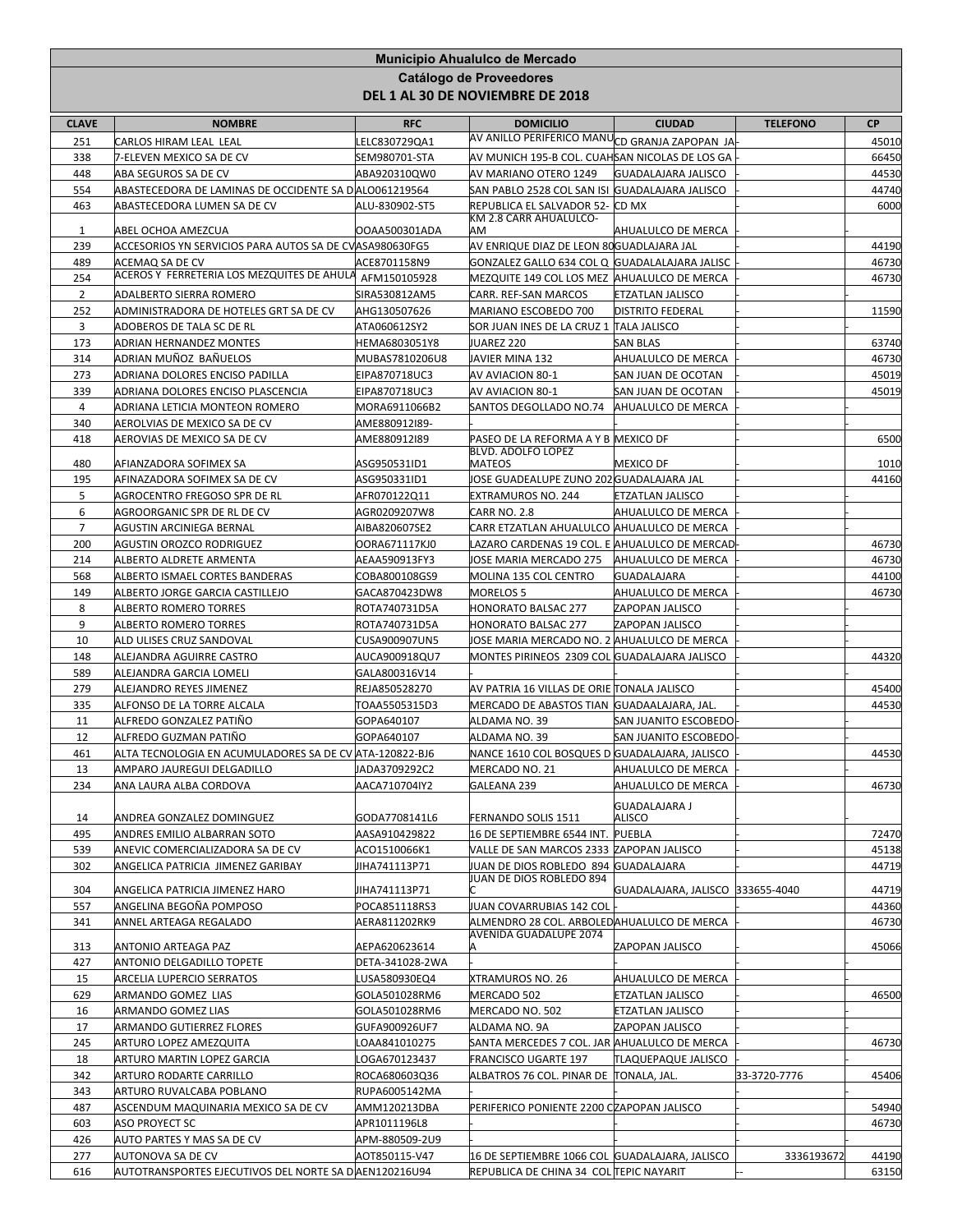|                |                                                                                  |                                 | Municipio Ahualulco de Mercado                                 |                                               |                 |                |
|----------------|----------------------------------------------------------------------------------|---------------------------------|----------------------------------------------------------------|-----------------------------------------------|-----------------|----------------|
|                |                                                                                  |                                 | Catálogo de Proveedores<br>DEL 1 AL 30 DE NOVIEMBRE DE 2018    |                                               |                 |                |
| <b>CLAVE</b>   | <b>NOMBRE</b>                                                                    | <b>RFC</b>                      | <b>DOMICILIO</b>                                               | <b>CIUDAD</b>                                 | <b>TELEFONO</b> | <b>CP</b>      |
| 251            | CARLOS HIRAM LEAL LEAL                                                           | ELC830729QA1                    | AV ANILLO PERIFERICO MANU <sub>CD GRANJA</sub> ZAPOPAN JA      |                                               |                 | 45010          |
| 338            | 7-ELEVEN MEXICO SA DE CV                                                         | SEM980701-STA                   | AV MUNICH 195-B COL. CUAHSAN NICOLAS DE LOS GA                 |                                               |                 | 66450          |
| 448            | ABA SEGUROS SA DE CV                                                             | ABA920310QW0                    | AV MARIANO OTERO 1249                                          | <b>GUADALAJARA JALISCO</b>                    |                 | 44530          |
| 554            | ABASTECEDORA DE LAMINAS DE OCCIDENTE SA D ALO061219564                           |                                 | SAN PABLO 2528 COL SAN ISI GUADALAJARA JALISCO                 |                                               |                 | 44740          |
| 463            | ABASTECEDORA LUMEN SA DE CV                                                      | ALU-830902-ST5                  | REPUBLICA EL SALVADOR 52- CD MX<br>KM 2.8 CARR AHUALULCO-      |                                               |                 | 6000           |
| 1              | ABEL OCHOA AMEZCUA                                                               | OOAA500301ADA                   | AМ                                                             | AHUALULCO DE MERCA                            |                 |                |
| 239            | ACCESORIOS YN SERVICIOS PARA AUTOS SA DE CVASA980630FG5                          |                                 | AV ENRIQUE DIAZ DE LEON 80GUADLAJARA JAL                       |                                               |                 | 44190          |
| 489            | ACEMAQ SA DE CV                                                                  | ACE8701158N9                    | GONZALEZ GALLO 634 COL Q GUADALALAJARA JALISC                  |                                               |                 | 46730          |
| 254            | ACEROS Y FERRETERIA LOS MEZQUITES DE AHULA                                       | AFM150105928                    | MEZQUITE 149 COL LOS MEZ AHUALULCO DE MERCA                    |                                               |                 | 46730          |
| $\overline{2}$ | ADALBERTO SIERRA ROMERO                                                          | SIRA530812AM5                   | CARR. REF-SAN MARCOS                                           | <b>ETZATLAN JALISCO</b>                       |                 |                |
| 252            | ADMINISTRADORA DE HOTELES GRT SA DE CV                                           | AHG130507626                    | MARIANO ESCOBEDO 700                                           | <b>DISTRITO FEDERAL</b>                       |                 | 11590          |
| 3              | ADOBEROS DE TALA SC DE RL                                                        | ATA060612SY2                    | SOR JUAN INES DE LA CRUZ 1 ∏ALA JALISCO                        |                                               |                 |                |
| 173            | ADRIAN HERNANDEZ MONTES                                                          | HEMA6803051Y8                   | JUAREZ 220                                                     | SAN BLAS                                      |                 | 63740          |
| 314<br>273     | ADRIAN MUÑOZ BAÑUELOS                                                            | MUBAS7810206U8<br>EIPA870718UC3 | JAVIER MINA 132                                                | AHUALULCO DE MERCA                            |                 | 46730<br>45019 |
| 339            | ADRIANA DOLORES ENCISO PADILLA<br>ADRIANA DOLORES ENCISO PLASCENCIA              | EIPA870718UC3                   | AV AVIACION 80-1<br>AV AVIACION 80-1                           | SAN JUAN DE OCOTAN<br>SAN JUAN DE OCOTAN      |                 | 45019          |
| 4              | ADRIANA LETICIA MONTEON ROMERO                                                   | MORA6911066B2                   | SANTOS DEGOLLADO NO.74   AHUALULCO DE MERCA                    |                                               |                 |                |
| 340            | AEROLVIAS DE MEXICO SA DE CV                                                     | AME880912I89-                   |                                                                |                                               |                 |                |
| 418            | AEROVIAS DE MEXICO SA DE CV                                                      | AME880912I89                    | PASEO DE LA REFORMA A Y B MEXICO DF                            |                                               |                 | 6500           |
|                |                                                                                  |                                 | <b>BLVD. ADOLFO LOPEZ</b>                                      |                                               |                 |                |
| 480            | AFIANZADORA SOFIMEX SA                                                           | ASG950531ID1                    | MATEOS                                                         | <b>MEXICO DF</b>                              |                 | 1010           |
| 195            | AFINAZADORA SOFIMEX SA DE CV                                                     | ASG950331ID1                    | JOSE GUADEALUPE ZUNO 202 GUADALAJARA JAL                       |                                               |                 | 44160          |
| 5<br>6         | AGROCENTRO FREGOSO SPR DE RL<br>AGROORGANIC SPR DE RL DE CV                      | AFR070122Q11<br>AGR0209207W8    | EXTRAMUROS NO. 244<br>CARR NO. 2.8                             | <b>ETZATLAN JALISCO</b><br>AHUALULCO DE MERCA |                 |                |
| $\overline{7}$ | AGUSTIN ARCINIEGA BERNAL                                                         | AIBA820607SE2                   | CARR ETZATLAN AHUALULCO AHUALULCO DE MERCA                     |                                               |                 |                |
| 200            | AGUSTIN OROZCO RODRIGUEZ                                                         | OORA671117KJ0                   | LAZARO CARDENAS 19 COL. E AHUALULCO DE MERCAD-                 |                                               |                 | 46730          |
| 214            | ALBERTO ALDRETE ARMENTA                                                          | AEAA590913FY3                   | JOSE MARIA MERCADO 275                                         | AHUALULCO DE MERCA                            |                 | 46730          |
| 568            | ALBERTO ISMAEL CORTES BANDERAS                                                   | COBA800108GS9                   | MOLINA 135 COL CENTRO                                          | <b>GUADALAJARA</b>                            |                 | 44100          |
| 149            | ALBERTO JORGE GARCIA CASTILLEJO                                                  | GACA870423DW8                   | MORELOS 5                                                      | AHUALULCO DE MERCA                            |                 | 46730          |
| 8              | ALBERTO ROMERO TORRES                                                            | ROTA740731D5A                   | HONORATO BALSAC 277                                            | ZAPOPAN JALISCO                               |                 |                |
| 9              | ALBERTO ROMERO TORRES                                                            | ROTA740731D5A                   | HONORATO BALSAC 277                                            | ZAPOPAN JALISCO                               |                 |                |
| 10             | ALD ULISES CRUZ SANDOVAL                                                         | CUSA900907UN5                   | JOSE MARIA MERCADO NO. 2 AHUALULCO DE MERCA                    |                                               |                 |                |
| 148            | ALEJANDRA AGUIRRE CASTRO                                                         | AUCA900918QU7                   | MONTES PIRINEOS 2309 COL GUADALAJARA JALISCO                   |                                               |                 | 44320          |
| 589            | ALEJANDRA GARCIA LOMELI                                                          | GALA800316V14                   |                                                                |                                               |                 |                |
| 279            | ALEJANDRO REYES JIMENEZ                                                          | REJA850528270                   | AV PATRIA 16 VILLAS DE ORIE TONALA JALISCO                     |                                               |                 | 45400          |
| 335            | ALFONSO DE LA TORRE ALCALA                                                       | TOAA5505315D3                   | MERCADO DE ABASTOS TIAN GUADAALAJARA, JAL.                     |                                               |                 | 44530          |
| 11             | ALFREDO GONZALEZ PATIÑO                                                          | GOPA640107                      | ALDAMA NO. 39                                                  | SAN JUANITO ESCOBEDO                          |                 |                |
| 12<br>461      | ALFREDO GUZMAN PATIÑO<br>ALTA TECNOLOGIA EN ACUMULADORES SA DE CV ATA-120822-BJ6 | GOPA640107                      | ALDAMA NO. 39<br>NANCE 1610 COL BOSQUES D GUADALAJARA, JALISCO | <b>SAN JUANITO ESCOBEDO</b>                   |                 | 44530          |
| 13             | AMPARO JAUREGUI DELGADILLO                                                       | JADA3709292C2                   | MERCADO NO. 21                                                 | AHUALULCO DE MERCA                            |                 |                |
| 234            | ANA LAURA ALBA CORDOVA                                                           | AACA710704IY2                   | GALEANA 239                                                    | AHUALULCO DE MERCA                            |                 | 46730          |
|                |                                                                                  |                                 |                                                                | <b>GUADALAJARA J</b>                          |                 |                |
| 14             | ANDREA GONZALEZ DOMINGUEZ                                                        | GODA7708141L6                   | FERNANDO SOLIS 1511                                            | ALISCO                                        |                 |                |
| 495            | ANDRES EMILIO ALBARRAN SOTO                                                      | AASA910429822                   | 16 DE SEPTIEMBRE 6544 INT. PUEBLA                              |                                               |                 | 72470          |
| 539            | ANEVIC COMERCIALIZADORA SA DE CV                                                 | ACO1510066K1                    | VALLE DE SAN MARCOS 2333 ZAPOPAN JALISCO                       |                                               |                 | 45138          |
| 302            | ANGELICA PATRICIA JIMENEZ GARIBAY                                                | JIHA741113P71                   | JUAN DE DIOS ROBLEDO 894 GUADALAJARA                           |                                               |                 | 44719          |
| 304            | ANGELICA PATRICIA JIMENEZ HARO                                                   | JIHA741113P71                   | JUAN DE DIOS ROBLEDO 894                                       | GUADALAJARA, JALISCO 333655-4040              |                 | 44719          |
| 557            | ANGELINA BEGOÑA POMPOSO                                                          | POCA851118RS3                   | JUAN COVARRUBIAS 142 COL                                       |                                               |                 | 44360          |
| 341            | ANNEL ARTEAGA REGALADO                                                           | AERA811202RK9                   | ALMENDRO 28 COL. ARBOLEDAHUALULCO DE MERCA                     |                                               |                 | 46730          |
|                |                                                                                  |                                 | AVENIDA GUADALUPE 2074                                         |                                               |                 |                |
| 313            | ANTONIO ARTEAGA PAZ                                                              | AEPA620623614                   | A                                                              | ZAPOPAN JALISCO                               |                 | 45066          |
| 427            | ANTONIO DELGADILLO TOPETE                                                        | DETA-341028-2WA                 |                                                                |                                               |                 |                |
| 15<br>629      | ARCELIA LUPERCIO SERRATOS<br>ARMANDO GOMEZ LIAS                                  | LUSA580930EQ4<br>GOLA501028RM6  | XTRAMUROS NO. 26<br>MERCADO 502                                | AHUALULCO DE MERCA<br>ETZATLAN JALISCO        |                 | 46500          |
| 16             | ARMANDO GOMEZ LIAS                                                               | GOLA501028RM6                   | MERCADO NO. 502                                                | ETZATLAN JALISCO                              |                 |                |
| 17             | ARMANDO GUTIERREZ FLORES                                                         | GUFA900926UF7                   | ALDAMA NO. 9A                                                  | ZAPOPAN JALISCO                               |                 |                |
| 245            | ARTURO LOPEZ AMEZQUITA                                                           | OAA841010275                    | SANTA MERCEDES 7 COL. JAR AHUALULCO DE MERCA                   |                                               |                 | 46730          |
| 18             | ARTURO MARTIN LOPEZ GARCIA                                                       | OGA670123437                    | FRANCISCO UGARTE 197                                           | TLAQUEPAQUE JALISCO                           |                 |                |
| 342            | ARTURO RODARTE CARRILLO                                                          | ROCA680603Q36                   | ALBATROS 76 COL. PINAR DE  TONALA, JAL.                        |                                               | 33-3720-7776    | 45406          |
| 343            | ARTURO RUVALCABA POBLANO                                                         | RUPA6005142MA                   |                                                                |                                               |                 |                |
| 487            | ASCENDUM MAQUINARIA MEXICO SA DE CV                                              | AMM120213DBA                    | PERIFERICO PONIENTE 2200 CZAPOPAN JALISCO                      |                                               |                 | 54940          |
| 603            | ASO PROYECT SC                                                                   | APR1011196L8                    |                                                                |                                               |                 | 46730          |
| 426            | AUTO PARTES Y MAS SA DE CV                                                       | APM-880509-2U9                  |                                                                |                                               |                 |                |
| 277            | AUTONOVA SA DE CV                                                                | AOT850115-V47                   | 16 DE SEPTIEMBRE 1066 COL GUADALAJARA, JALISCO                 |                                               | 3336193672      | 44190          |
| 616            | AUTOTRANSPORTES EJECUTIVOS DEL NORTE SA DAEN120216U94                            |                                 | REPUBLICA DE CHINA 34 COL TEPIC NAYARIT                        |                                               |                 | 63150          |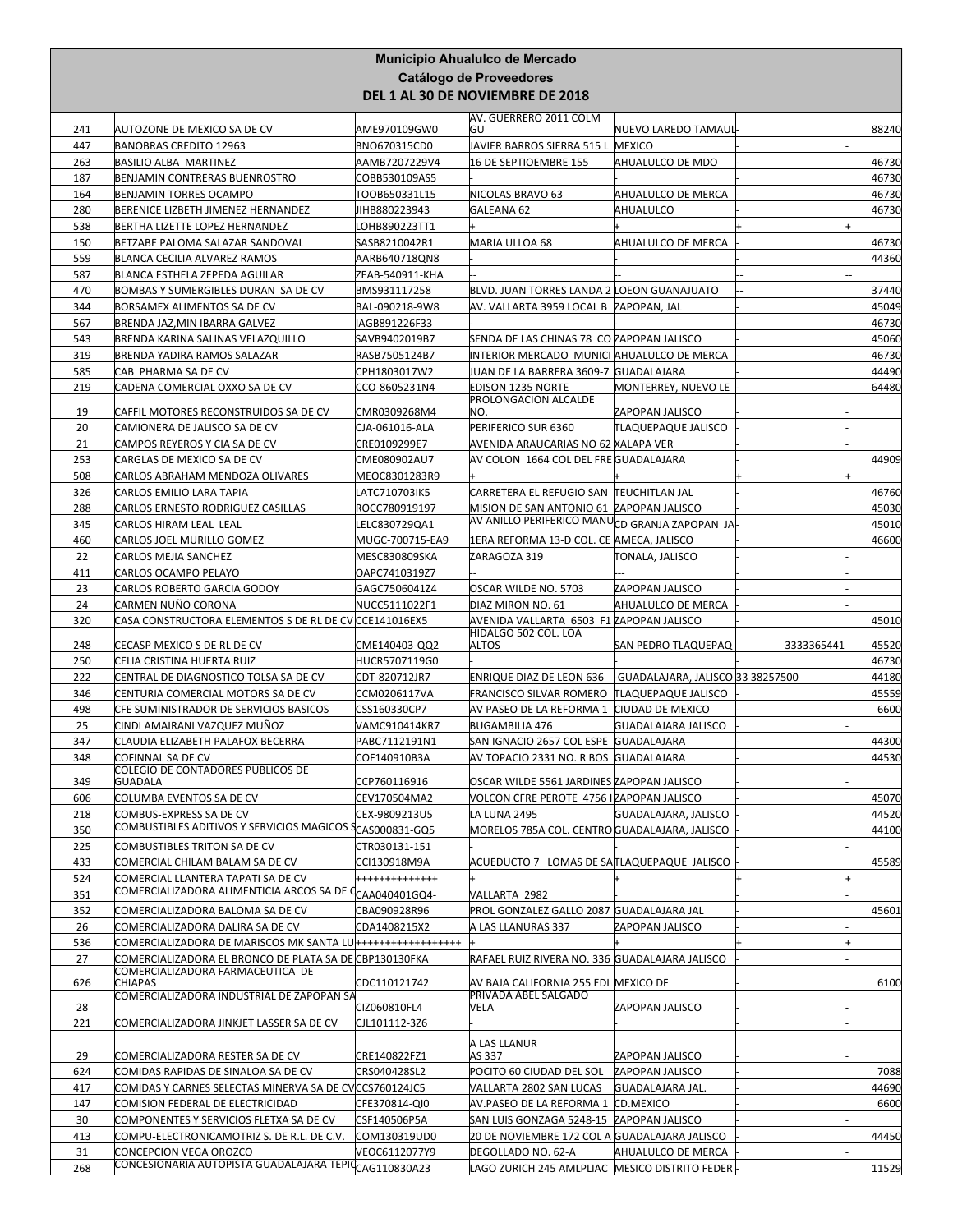|            |                                                                                                                                            |                                  | Municipio Ahualulco de Mercado                                                            |                            |            |                |
|------------|--------------------------------------------------------------------------------------------------------------------------------------------|----------------------------------|-------------------------------------------------------------------------------------------|----------------------------|------------|----------------|
|            |                                                                                                                                            |                                  | Catálogo de Proveedores<br>DEL 1 AL 30 DE NOVIEMBRE DE 2018                               |                            |            |                |
|            |                                                                                                                                            |                                  | AV. GUERRERO 2011 COLM                                                                    | NUEVO LAREDO TAMAUL        |            |                |
| 241<br>447 | AUTOZONE DE MEXICO SA DE CV<br><b>BANOBRAS CREDITO 12963</b>                                                                               | AME970109GW0<br>BNO670315CD0     | lGU<br>JAVIER BARROS SIERRA 515 L MEXICO                                                  |                            |            | 88240          |
| 263        | BASILIO ALBA MARTINEZ                                                                                                                      | AAMB7207229V4                    | 16 DE SEPTIOEMBRE 155                                                                     | AHUALULCO DE MDO           |            | 46730          |
| 187        | BENJAMIN CONTRERAS BUENROSTRO                                                                                                              | COBB530109AS5                    |                                                                                           |                            |            | 46730          |
| 164        | <b>BENJAMIN TORRES OCAMPO</b>                                                                                                              | TOOB650331L15                    | NICOLAS BRAVO 63                                                                          | AHUALULCO DE MERCA         |            | 46730          |
| 280        | BERENICE LIZBETH JIMENEZ HERNANDEZ                                                                                                         | JIHB880223943                    | GALEANA 62                                                                                | AHUALULCO                  |            | 46730          |
| 538<br>150 | BERTHA LIZETTE LOPEZ HERNANDEZ<br>BETZABE PALOMA SALAZAR SANDOVAL                                                                          | OHB890223TT1<br>SASB8210042R1    | MARIA ULLOA 68                                                                            | AHUALULCO DE MERCA         |            | 46730          |
| 559        | BLANCA CECILIA ALVAREZ RAMOS                                                                                                               | AARB640718QN8                    |                                                                                           |                            |            | 44360          |
| 587        | BLANCA ESTHELA ZEPEDA AGUILAR                                                                                                              | ZEAB-540911-KHA                  |                                                                                           |                            |            |                |
| 470        | BOMBAS Y SUMERGIBLES DURAN SA DE CV                                                                                                        | BMS931117258                     | BLVD. JUAN TORRES LANDA 2 LOEON GUANAJUATO                                                |                            |            | 37440          |
| 344        | BORSAMEX ALIMENTOS SA DE CV                                                                                                                | BAL-090218-9W8                   | AV. VALLARTA 3959 LOCAL B   ZAPOPAN, JAL                                                  |                            |            | 45049          |
| 567        | BRENDA JAZ, MIN IBARRA GALVEZ                                                                                                              | IAGB891226F33                    |                                                                                           |                            |            | 46730          |
| 543<br>319 | BRENDA KARINA SALINAS VELAZQUILLO<br><b>BRENDA YADIRA RAMOS SALAZAR</b>                                                                    | SAVB9402019B7<br>RASB7505124B7   | SENDA DE LAS CHINAS 78 CO ZAPOPAN JALISCO<br>INTERIOR MERCADO MUNICI AHUALULCO DE MERCA   |                            |            | 45060<br>46730 |
| 585        | CAB PHARMA SA DE CV                                                                                                                        | CPH1803017W2                     | JUAN DE LA BARRERA 3609-7 GUADALAJARA                                                     |                            |            | 44490          |
| 219        | CADENA COMERCIAL OXXO SA DE CV                                                                                                             | CCO-8605231N4                    | <b>EDISON 1235 NORTE</b>                                                                  | MONTERREY, NUEVO LE        |            | 64480          |
| 19         | CAFFIL MOTORES RECONSTRUIDOS SA DE CV                                                                                                      | CMR0309268M4                     | PROLONGACION ALCALDE<br>NO.                                                               | ZAPOPAN JALISCO            |            |                |
| 20         | CAMIONERA DE JALISCO SA DE CV                                                                                                              | CJA-061016-ALA                   | PERIFERICO SUR 6360                                                                       | <b>TLAQUEPAQUE JALISCO</b> |            |                |
| 21         | CAMPOS REYEROS Y CIA SA DE CV                                                                                                              | CRE0109299E7                     | AVENIDA ARAUCARIAS NO 62 XALAPA VER                                                       |                            |            |                |
| 253        | CARGLAS DE MEXICO SA DE CV                                                                                                                 | CME080902AU7                     | AV COLON 1664 COL DEL FREGUADALAJARA                                                      |                            |            | 44909          |
| 508        | CARLOS ABRAHAM MENDOZA OLIVARES                                                                                                            | MEOC8301283R9                    |                                                                                           |                            |            |                |
| 326        | CARLOS EMILIO LARA TAPIA                                                                                                                   | LATC710703IK5                    | CARRETERA EL REFUGIO SAN TEUCHITLAN JAL                                                   |                            |            | 46760          |
| 288        | CARLOS ERNESTO RODRIGUEZ CASILLAS                                                                                                          | ROCC780919197                    | MISION DE SAN ANTONIO 61 ZAPOPAN JALISCO<br>AV ANILLO PERIFERICO MANUCD GRANJA ZAPOPAN JA |                            |            | 45030          |
| 345<br>460 | CARLOS HIRAM LEAL LEAL<br>CARLOS JOEL MURILLO GOMEZ                                                                                        | LELC830729QA1<br>MUGC-700715-EA9 | 1ERA REFORMA 13-D COL. CE AMECA, JALISCO                                                  |                            |            | 45010<br>46600 |
| 22         | CARLOS MEJIA SANCHEZ                                                                                                                       | MESC830809SKA                    | ZARAGOZA 319                                                                              | TONALA, JALISCO            |            |                |
| 411        | CARLOS OCAMPO PELAYO                                                                                                                       | OAPC7410319Z7                    |                                                                                           |                            |            |                |
| 23         | CARLOS ROBERTO GARCIA GODOY                                                                                                                | GAGC7506041Z4                    | OSCAR WILDE NO. 5703                                                                      | ZAPOPAN JALISCO            |            |                |
| 24         | CARMEN NUÑO CORONA                                                                                                                         | NUCC5111022F1                    | DIAZ MIRON NO. 61                                                                         | AHUALULCO DE MERCA         |            |                |
| 320        | CASA CONSTRUCTORA ELEMENTOS S DE RL DE CV CCE141016EX5                                                                                     |                                  | AVENIDA VALLARTA 6503 F1 ZAPOPAN JALISCO<br>HIDALGO 502 COL. LOA                          |                            |            | 45010          |
| 248        | CECASP MEXICO S DE RL DE CV                                                                                                                | CME140403-QQ2                    | ALTOS                                                                                     | <b>SAN PEDRO TLAQUEPAQ</b> | 3333365441 | 45520          |
| 250        | CELIA CRISTINA HUERTA RUIZ                                                                                                                 | HUCR5707119G0                    |                                                                                           |                            |            | 46730          |
| 222        | CENTRAL DE DIAGNOSTICO TOLSA SA DE CV                                                                                                      | CDT-820712JR7                    | ENRIQUE DIAZ DE LEON 636 FGUADALAJARA, JALISCO 33 38257500                                |                            |            | 44180          |
| 346        | CENTURIA COMERCIAL MOTORS SA DE CV                                                                                                         | CCM0206117VA                     | FRANCISCO SILVAR ROMERO TLAQUEPAQUE JALISCO                                               |                            |            | 45559          |
| 498<br>25  | CFE SUMINISTRADOR DE SERVICIOS BASICOS<br>CINDI AMAIRANI VAZQUEZ MUÑOZ                                                                     | CSS160330CP7<br>VAMC910414KR7    | AV PASEO DE LA REFORMA 1 CIUDAD DE MEXICO<br><b>BUGAMBILIA 476</b>                        | <b>GUADALAJARA JALISCO</b> |            | 6600           |
| 347        | CLAUDIA ELIZABETH PALAFOX BECERRA                                                                                                          | PABC7112191N1                    | SAN IGNACIO 2657 COL ESPE GUADALAJARA                                                     |                            |            | 44300          |
| 348        | COFINNAL SA DE CV                                                                                                                          | COF140910B3A                     | AV TOPACIO 2331 NO. R BOS GUADALAJARA                                                     |                            |            | 44530          |
| 349        | <b>COLEGIO DE CONTADORES PUBLICOS DE</b><br>GUADALA                                                                                        | CCP760116916                     | OSCAR WILDE 5561 JARDINES ZAPOPAN JALISCO                                                 |                            |            |                |
| 606        | COLUMBA EVENTOS SA DE CV                                                                                                                   | CEV170504MA2                     | VOLCON CFRE PEROTE 4756 IZAPOPAN JALISCO                                                  |                            |            | 45070          |
| 218        | COMBUS-EXPRESS SA DE CV                                                                                                                    | CEX-9809213U5                    | <b>LA LUNA 2495</b>                                                                       | GUADALAJARA, JALISCO       |            | 44520          |
| 350        | COMBUSTIBLES ADITIVOS Y SERVICIOS MAGICOS SCAS000831-GQ5                                                                                   |                                  | MORELOS 785A COL. CENTRO GUADALAJARA, JALISCO                                             |                            |            | 44100          |
| 225        | COMBUSTIBLES TRITON SA DE CV                                                                                                               | CTR030131-151                    |                                                                                           |                            |            |                |
| 433        | COMERCIAL CHILAM BALAM SA DE CV                                                                                                            | CCI130918M9A                     | ACUEDUCTO 7 LOMAS DE SATLAQUEPAQUE JALISCO                                                |                            |            | 45589          |
| 524        | COMERCIAL LLANTERA TAPATI SA DE CV<br>COMERCIALIZADORA ALIMENTICIA ARCOS SA DE C <sub>CAA040401GQ4</sub>                                   | +++++++++++++                    |                                                                                           |                            |            |                |
| 351<br>352 | COMERCIALIZADORA BALOMA SA DE CV                                                                                                           | CBA090928R96                     | VALLARTA 2982<br>PROL GONZALEZ GALLO 2087 GUADALAJARA JAL                                 |                            |            | 45601          |
| 26         | COMERCIALIZADORA DALIRA SA DE CV                                                                                                           | CDA1408215X2                     | A LAS LLANURAS 337                                                                        | ZAPOPAN JALISCO            |            |                |
| 536        | COMERCIALIZADORA DE MARISCOS MK SANTA LU <del> +++++++++++++++++</del>                                                                     |                                  |                                                                                           |                            |            |                |
| 27         | COMERCIALIZADORA EL BRONCO DE PLATA SA DE CBP130130FKA                                                                                     |                                  | RAFAEL RUIZ RIVERA NO. 336 GUADALAJARA JALISCO                                            |                            |            |                |
| 626        | COMERCIALIZADORA FARMACEUTICA DE<br><b>CHIAPAS</b>                                                                                         | CDC110121742                     | AV BAJA CALIFORNIA 255 EDI MEXICO DF                                                      |                            |            | 6100           |
|            | COMERCIALIZADORA INDUSTRIAL DE ZAPOPAN SA                                                                                                  |                                  | PRIVADA ABEL SALGADO                                                                      |                            |            |                |
| 28<br>221  | COMERCIALIZADORA JINKJET LASSER SA DE CV                                                                                                   | CIZ060810FL4<br>CJL101112-3Z6    | VELA                                                                                      | ZAPOPAN JALISCO            |            |                |
|            |                                                                                                                                            |                                  | A LAS LLANUR                                                                              |                            |            |                |
| 29         | COMERCIALIZADORA RESTER SA DE CV                                                                                                           | CRE140822FZ1                     | AS 337                                                                                    | ZAPOPAN JALISCO            |            |                |
| 624        | COMIDAS RAPIDAS DE SINALOA SA DE CV                                                                                                        | CRS040428SL2                     | POCITO 60 CIUDAD DEL SOL ZAPOPAN JALISCO                                                  |                            |            | 7088           |
| 417        | COMIDAS Y CARNES SELECTAS MINERVA SA DE CVCCS760124JC5                                                                                     |                                  | VALLARTA 2802 SAN LUCAS                                                                   | <b>GUADALAJARA JAL.</b>    |            | 44690          |
| 147        | COMISION FEDERAL DE ELECTRICIDAD                                                                                                           | CFE370814-QI0                    | AV.PASEO DE LA REFORMA 1 CD.MEXICO                                                        |                            |            | 6600           |
| 30<br>413  | COMPONENTES Y SERVICIOS FLETXA SA DE CV                                                                                                    | CSF140506P5A                     | SAN LUIS GONZAGA 5248-15 ZAPOPAN JALISCO<br>20 DE NOVIEMBRE 172 COL A GUADALAJARA JALISCO |                            |            | 44450          |
|            |                                                                                                                                            |                                  |                                                                                           |                            |            |                |
| 31         | COMPU-ELECTRONICAMOTRIZ S. DE R.L. DE C.V.<br>CONCEPCION VEGA OROZCO<br>CONCESIONARIA AUTOPISTA GUADALAJARA TEPIC <sub>CAG 110830A23</sub> | COM130319UD0<br>VEOC6112077Y9    | DEGOLLADO NO. 62-A                                                                        | AHUALULCO DE MERCA         |            |                |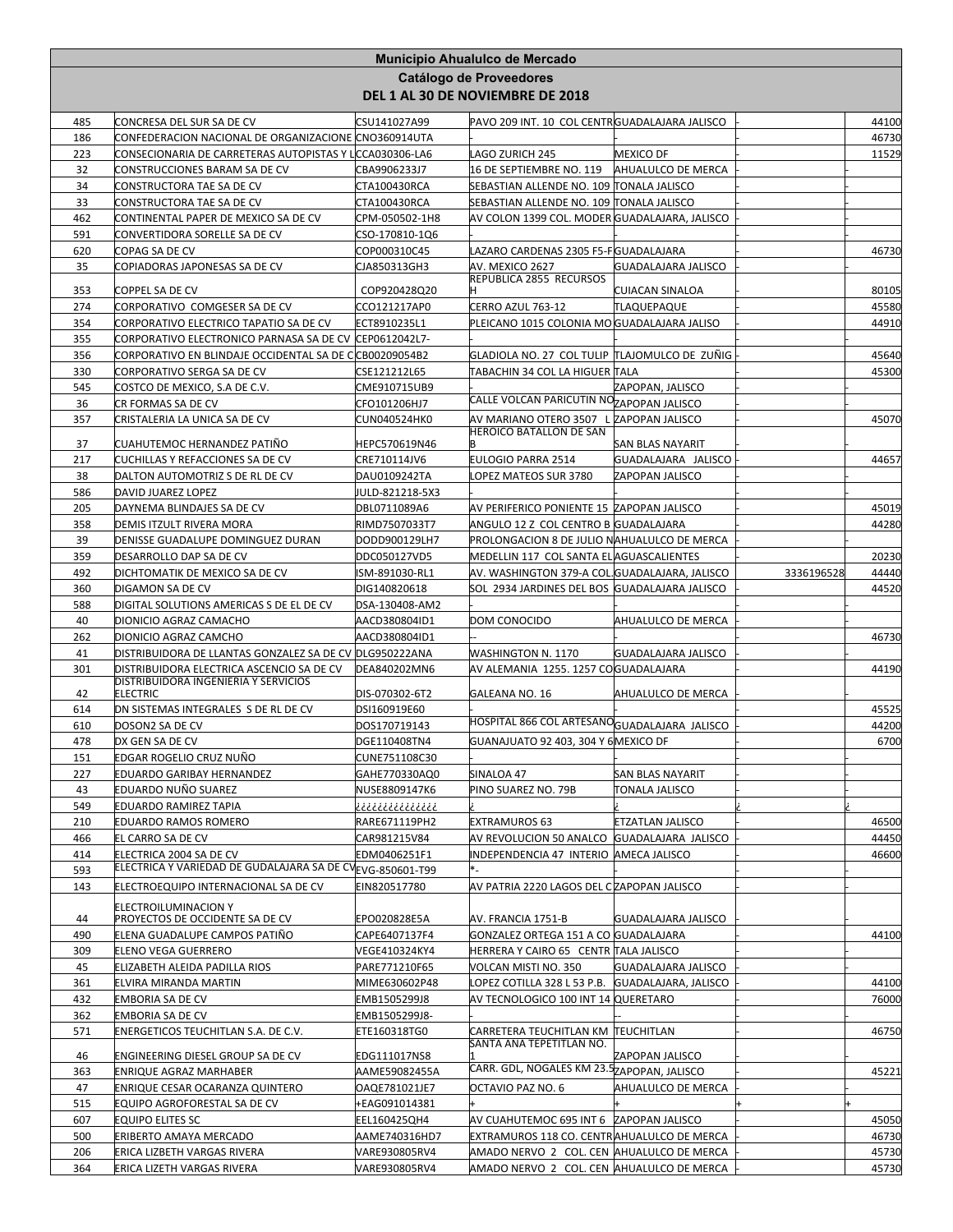|            |                                                                                       |                                 | Municipio Ahualulco de Mercado                                                         |                         |            |                |
|------------|---------------------------------------------------------------------------------------|---------------------------------|----------------------------------------------------------------------------------------|-------------------------|------------|----------------|
|            |                                                                                       |                                 | Catálogo de Proveedores                                                                |                         |            |                |
|            |                                                                                       |                                 | DEL 1 AL 30 DE NOVIEMBRE DE 2018                                                       |                         |            |                |
| 485        | CONCRESA DEL SUR SA DE CV                                                             | CSU141027A99                    | PAVO 209 INT. 10 COL CENTRGUADALAJARA JALISCO                                          |                         |            | 44100          |
| 186        | CONFEDERACION NACIONAL DE ORGANIZACIONE CNO360914UTA                                  |                                 |                                                                                        |                         |            | 46730          |
| 223        | CONSECIONARIA DE CARRETERAS AUTOPISTAS Y LCCA030306-LA6                               |                                 | LAGO ZURICH 245                                                                        | <b>MEXICO DF</b>        |            | 11529          |
| 32         | CONSTRUCCIONES BARAM SA DE CV                                                         | CBA9906233J7                    | 16 DE SEPTIEMBRE NO. 119                                                               | AHUALULCO DE MERCA      |            |                |
| 34         | CONSTRUCTORA TAE SA DE CV                                                             | CTA100430RCA                    | SEBASTIAN ALLENDE NO. 109 TONALA JALISCO                                               |                         |            |                |
| 33         | CONSTRUCTORA TAE SA DE CV                                                             | CTA100430RCA                    | SEBASTIAN ALLENDE NO. 109 TONALA JALISCO                                               |                         |            |                |
| 462        | CONTINENTAL PAPER DE MEXICO SA DE CV                                                  | CPM-050502-1H8                  | AV COLON 1399 COL. MODER GUADALAJARA, JALISCO                                          |                         |            |                |
| 591        | CONVERTIDORA SORELLE SA DE CV                                                         | CSO-170810-1Q6                  |                                                                                        |                         |            |                |
| 620<br>35  | COPAG SA DE CV<br>COPIADORAS JAPONESAS SA DE CV                                       | COP000310C45<br>CJA850313GH3    | LAZARO CARDENAS 2305 F5-FGUADALAJARA<br>AV. MEXICO 2627                                | GUADALAJARA JALISCO     |            | 46730          |
|            |                                                                                       |                                 | REPUBLICA 2855 RECURSOS                                                                |                         |            |                |
| 353        | COPPEL SA DE CV                                                                       | COP920428Q20                    |                                                                                        | <b>CUIACAN SINALOA</b>  |            | 80105          |
| 274        | CORPORATIVO COMGESER SA DE CV                                                         | CCO121217AP0                    | CERRO AZUL 763-12                                                                      | TLAQUEPAQUE             |            | 45580          |
| 354        | CORPORATIVO ELECTRICO TAPATIO SA DE CV                                                | ECT8910235L1                    | PLEICANO 1015 COLONIA MO GUADALAJARA JALISO                                            |                         |            | 44910          |
| 355        | CORPORATIVO ELECTRONICO PARNASA SA DE CV                                              | CEP0612042L7-                   |                                                                                        |                         |            |                |
| 356<br>330 | CORPORATIVO EN BLINDAJE OCCIDENTAL SA DE C CB00209054B2<br>CORPORATIVO SERGA SA DE CV | CSE121212L65                    | GLADIOLA NO. 27 COL TULIP  TLAJOMULCO DE ZUÑIG<br>TABACHIN 34 COL LA HIGUER TALA       |                         |            | 45640<br>45300 |
| 545        | COSTCO DE MEXICO, S.A DE C.V.                                                         | CME910715UB9                    |                                                                                        | ZAPOPAN, JALISCO        |            |                |
| 36         | CR FORMAS SA DE CV                                                                    | CFO101206HJ7                    | CALLE VOLCAN PARICUTIN NOZAPOPAN JALISCO                                               |                         |            |                |
| 357        | CRISTALERIA LA UNICA SA DE CV                                                         | <b>CUN040524HK0</b>             | AV MARIANO OTERO 3507 L ZAPOPAN JALISCO                                                |                         |            | 45070          |
|            |                                                                                       |                                 | <b>HEROICO BATALLON DE SAN</b>                                                         |                         |            |                |
| 37         | CUAHUTEMOC HERNANDEZ PATIÑO                                                           | HEPC570619N46                   |                                                                                        | <b>SAN BLAS NAYARIT</b> |            |                |
| 217        | CUCHILLAS Y REFACCIONES SA DE CV                                                      | CRE710114JV6                    | EULOGIO PARRA 2514                                                                     | GUADALAJARA JALISCO     |            | 44657          |
| 38<br>586  | DALTON AUTOMOTRIZ S DE RL DE CV<br>DAVID JUAREZ LOPEZ                                 | DAU0109242TA<br>JULD-821218-5X3 | LOPEZ MATEOS SUR 3780                                                                  | ZAPOPAN JALISCO         |            |                |
| 205        | DAYNEMA BLINDAJES SA DE CV                                                            | DBL0711089A6                    | AV PERIFERICO PONIENTE 15 ZAPOPAN JALISCO                                              |                         |            | 45019          |
| 358        | DEMIS ITZULT RIVERA MORA                                                              | RIMD7507033T7                   | ANGULO 12 Z COL CENTRO B GUADALAJARA                                                   |                         |            | 44280          |
| 39         | DENISSE GUADALUPE DOMINGUEZ DURAN                                                     | DODD900129LH7                   | PROLONGACION 8 DE JULIO NAHUALULCO DE MERCA                                            |                         |            |                |
| 359        | DESARROLLO DAP SA DE CV                                                               | DDC050127VD5                    | MEDELLIN 117 COL SANTA ELAGUASCALIENTES                                                |                         |            | 20230          |
| 492        | DICHTOMATIK DE MEXICO SA DE CV                                                        | ISM-891030-RL1                  | AV. WASHINGTON 379-A COL. GUADALAJARA, JALISCO                                         |                         | 3336196528 | 44440          |
| 360        | DIGAMON SA DE CV                                                                      | DIG140820618                    | SOL 2934 JARDINES DEL BOS GUADALAJARA JALISCO                                          |                         |            | 44520          |
| 588        | DIGITAL SOLUTIONS AMERICAS S DE EL DE CV                                              | DSA-130408-AM2                  |                                                                                        |                         |            |                |
| 40         | DIONICIO AGRAZ CAMACHO                                                                | AACD380804ID1                   | DOM CONOCIDO                                                                           | AHUALULCO DE MERCA      |            |                |
| 262        | DIONICIO AGRAZ CAMCHO                                                                 | AACD380804ID1                   |                                                                                        |                         |            | 46730          |
| 41         | DISTRIBUIDORA DE LLANTAS GONZALEZ SA DE CV DLG950222ANA                               |                                 | WASHINGTON N. 1170                                                                     | GUADALAJARA JALISCO     |            |                |
| 301        | DISTRIBUIDORA ELECTRICA ASCENCIO SA DE CV<br>DISTRIBUIDORA INGENIERIA Y SERVICIOS     | DEA840202MN6                    | AV ALEMANIA 1255. 1257 CO <mark>GUADALAJARA</mark>                                     |                         |            | 44190          |
| 42         | <b>ELECTRIC</b>                                                                       | DIS-070302-6T2                  | GALEANA NO. 16                                                                         | AHUALULCO DE MERCA      |            |                |
| 614        | DN SISTEMAS INTEGRALES S DE RL DE CV                                                  | DSI160919E60                    |                                                                                        |                         |            | 45525          |
| 610        | DOSON2 SA DE CV                                                                       | DOS170719143                    | HOSPITAL 866 COL ARTESANO <sub>GUADALAJARA</sub> JALISCO                               |                         |            | 44200          |
| 478        | DX GEN SA DE CV                                                                       | DGE110408TN4                    | GUANAJUATO 92 403, 304 Y 6 MEXICO DF                                                   |                         |            | 6700           |
| 151        | EDGAR ROGELIO CRUZ NUÑO                                                               | CUNE751108C30                   |                                                                                        |                         |            |                |
| 227        | EDUARDO GARIBAY HERNANDEZ                                                             | GAHE770330AQ0                   | SINALOA 47                                                                             | <b>SAN BLAS NAYARIT</b> |            |                |
| 43         | EDUARDO NUÑO SUAREZ                                                                   | NUSE8809147K6                   | PINO SUAREZ NO. 79B                                                                    | TONALA JALISCO          |            |                |
| 549        | EDUARDO RAMIREZ TAPIA                                                                 | ذذذذذذذذذذذذذذذ                 |                                                                                        |                         |            |                |
| 210<br>466 | EDUARDO RAMOS ROMERO<br>EL CARRO SA DE CV                                             | RARE671119PH2<br>CAR981215V84   | <b>EXTRAMUROS 63</b><br>AV REVOLUCION 50 ANALCO GUADALAJARA JALISCO                    | <b>ETZATLAN JALISCO</b> |            | 46500<br>44450 |
| 414        | ELECTRICA 2004 SA DE CV                                                               | EDM0406251F1                    | INDEPENDENCIA 47 INTERIO AMECA JALISCO                                                 |                         |            | 46600          |
| 593        | ELECTRICA Y VARIEDAD DE GUDALAJARA SA DE CV <sub>EVG-8</sub> 50601-T99                |                                 |                                                                                        |                         |            |                |
| 143        | ELECTROEQUIPO INTERNACIONAL SA DE CV                                                  | EIN820517780                    | AV PATRIA 2220 LAGOS DEL CZAPOPAN JALISCO                                              |                         |            |                |
|            | <b>ELECTROILUMINACION Y</b>                                                           |                                 |                                                                                        |                         |            |                |
| 44         | PROYECTOS DE OCCIDENTE SA DE CV                                                       | EPO020828E5A                    | AV. FRANCIA 1751-B                                                                     | GUADALAJARA JALISCO     |            |                |
| 490        | ELENA GUADALUPE CAMPOS PATIÑO                                                         | CAPE6407137F4                   | GONZALEZ ORTEGA 151 A CO GUADALAJARA                                                   |                         |            | 44100          |
| 309        | ELENO VEGA GUERRERO                                                                   | VEGE410324KY4                   | HERRERA Y CAIRO 65 CENTR TALA JALISCO                                                  |                         |            |                |
| 45         | ELIZABETH ALEIDA PADILLA RIOS                                                         | PARE771210F65                   | VOLCAN MISTI NO. 350                                                                   | GUADALAJARA JALISCO     |            |                |
| 361        | ELVIRA MIRANDA MARTIN                                                                 | MIME630602P48                   | LOPEZ COTILLA 328 L 53 P.B.                                                            | GUADALAJARA, JALISCO    |            | 44100          |
| 432        | EMBORIA SA DE CV                                                                      | EMB1505299J8                    | AV TECNOLOGICO 100 INT 14 QUERETARO                                                    |                         |            | 76000          |
| 362        | EMBORIA SA DE CV                                                                      | EMB1505299J8-                   |                                                                                        |                         |            |                |
| 571        | ENERGETICOS TEUCHITLAN S.A. DE C.V.                                                   | ETE160318TG0                    | CARRETERA TEUCHITLAN KM TEUCHITLAN<br>SANTA ANA TEPETITLAN NO.                         |                         |            | 46750          |
| 46         | ENGINEERING DIESEL GROUP SA DE CV                                                     | EDG111017NS8                    |                                                                                        | ZAPOPAN JALISCO         |            |                |
| 363        | ENRIQUE AGRAZ MARHABER                                                                | AAME59082455A                   | CARR. GDL, NOGALES KM 23.5 ZAPOPAN, JALISCO                                            |                         |            | 45221          |
| 47         | ENRIQUE CESAR OCARANZA QUINTERO                                                       | OAQE781021JE7                   | OCTAVIO PAZ NO. 6                                                                      | AHUALULCO DE MERCA      |            |                |
| 515        | EQUIPO AGROFORESTAL SA DE CV                                                          | +EAG091014381                   |                                                                                        |                         |            |                |
| 607        | <b>EQUIPO ELITES SC</b>                                                               | EEL160425QH4                    | AV CUAHUTEMOC 695 INT 6 ZAPOPAN JALISCO                                                |                         |            | 45050          |
| 500        | ERIBERTO AMAYA MERCADO                                                                | AAME740316HD7                   | EXTRAMUROS 118 CO. CENTRAHUALULCO DE MERCA                                             |                         |            | 46730          |
|            |                                                                                       |                                 |                                                                                        |                         |            |                |
| 206<br>364 | ERICA LIZBETH VARGAS RIVERA<br>ERICA LIZETH VARGAS RIVERA                             | VARE930805RV4<br>VARE930805RV4  | AMADO NERVO 2 COL. CEN AHUALULCO DE MERCA<br>AMADO NERVO 2 COL. CEN AHUALULCO DE MERCA |                         |            | 45730<br>45730 |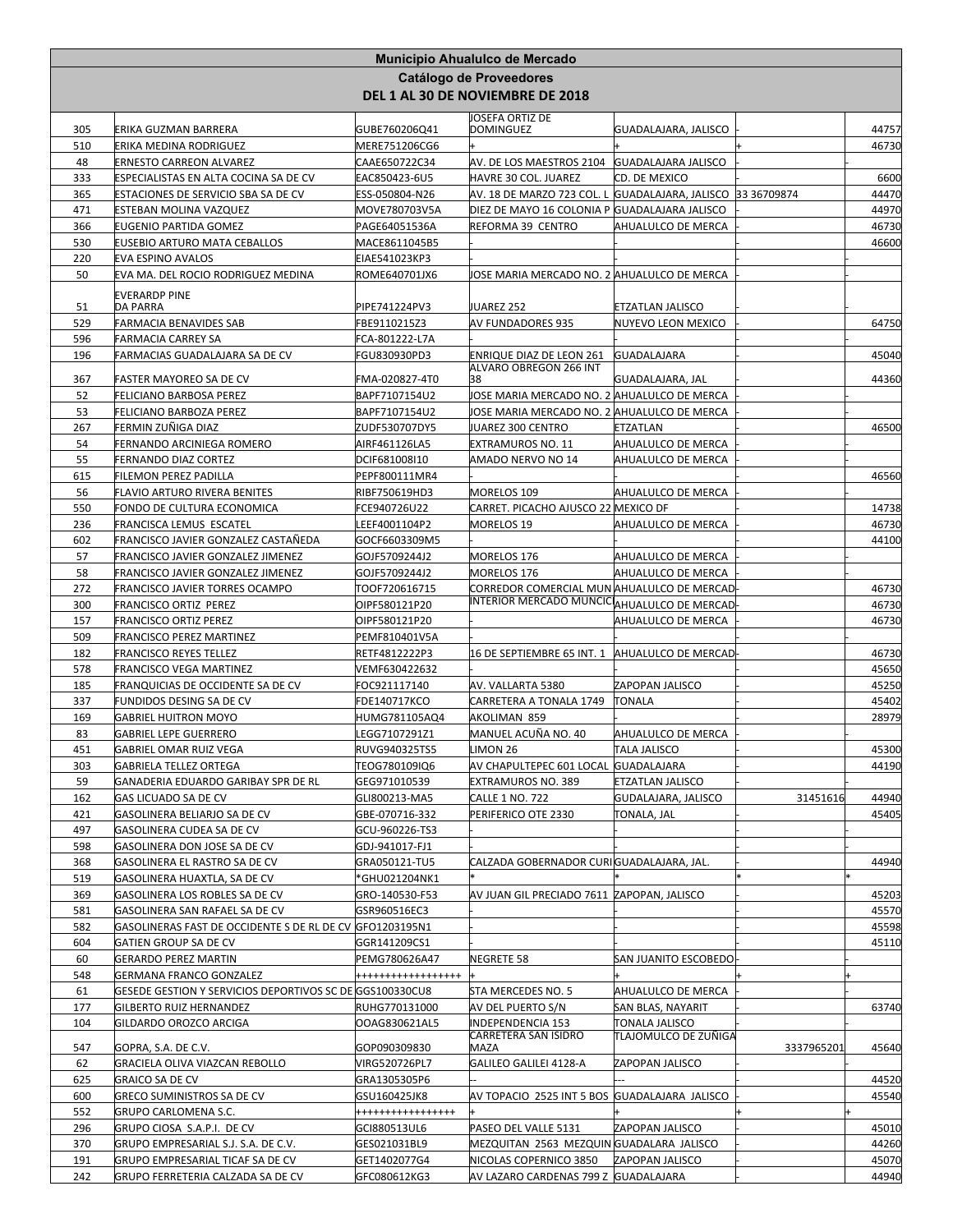|            |                                                                                     |                                | Municipio Ahualulco de Mercado<br>Catálogo de Proveedores          |                                               |            |                |
|------------|-------------------------------------------------------------------------------------|--------------------------------|--------------------------------------------------------------------|-----------------------------------------------|------------|----------------|
|            |                                                                                     |                                | DEL 1 AL 30 DE NOVIEMBRE DE 2018                                   |                                               |            |                |
| 305        | ERIKA GUZMAN BARRERA                                                                | GUBE760206Q41                  | JOSEFA ORTIZ DE<br><b>DOMINGUEZ</b>                                | GUADALAJARA, JALISCO                          |            | 44757          |
| 510        | ERIKA MEDINA RODRIGUEZ                                                              | MERE751206CG6                  |                                                                    |                                               |            | 46730          |
| 48         | <b>ERNESTO CARREON ALVAREZ</b>                                                      | CAAE650722C34                  | AV. DE LOS MAESTROS 2104 GUADALAJARA JALISCO                       |                                               |            |                |
| 333        | ESPECIALISTAS EN ALTA COCINA SA DE CV                                               | EAC850423-6U5                  | HAVRE 30 COL. JUAREZ                                               | CD. DE MEXICO                                 |            | 6600           |
| 365<br>471 | ESTACIONES DE SERVICIO SBA SA DE CV                                                 | ESS-050804-N26                 | AV. 18 DE MARZO 723 COL. L  GUADALAJARA, JALISCO  33 36709874      |                                               |            | 44470<br>44970 |
| 366        | ESTEBAN MOLINA VAZQUEZ<br>EUGENIO PARTIDA GOMEZ                                     | MOVE780703V5A<br>PAGE64051536A | DIEZ DE MAYO 16 COLONIA P GUADALAJARA JALISCO<br>REFORMA 39 CENTRO | AHUALULCO DE MERCA                            |            | 46730          |
| 530        | EUSEBIO ARTURO MATA CEBALLOS                                                        | MACE8611045B5                  |                                                                    |                                               |            | 46600          |
| 220        | <b>EVA ESPINO AVALOS</b>                                                            | EIAE541023KP3                  |                                                                    |                                               |            |                |
| 50         | EVA MA. DEL ROCIO RODRIGUEZ MEDINA                                                  | ROME640701JX6                  | JOSE MARIA MERCADO NO. 2 AHUALULCO DE MERCA                        |                                               |            |                |
|            | <b>EVERARDP PINE</b>                                                                |                                |                                                                    |                                               |            |                |
| 51<br>529  | <b>DA PARRA</b><br><b>FARMACIA BENAVIDES SAB</b>                                    | PIPE741224PV3<br>FBE9110215Z3  | JUAREZ 252<br>AV FUNDADORES 935                                    | <b>ETZATLAN JALISCO</b><br>NUYEVO LEON MEXICO |            | 64750          |
| 596        | FARMACIA CARREY SA                                                                  | FCA-801222-L7A                 |                                                                    |                                               |            |                |
| 196        | FARMACIAS GUADALAJARA SA DE CV                                                      | FGU830930PD3                   | ENRIQUE DIAZ DE LEON 261                                           | <b>GUADALAJARA</b>                            |            | 45040          |
| 367        | FASTER MAYOREO SA DE CV                                                             | FMA-020827-4T0                 | <b>ALVARO OBREGON 266 INT</b><br>38                                | GUADALAJARA, JAL                              |            | 44360          |
| 52         | FELICIANO BARBOSA PEREZ                                                             | BAPF7107154U2                  | JOSE MARIA MERCADO NO. 2 AHUALULCO DE MERCA                        |                                               |            |                |
| 53         | FELICIANO BARBOZA PEREZ                                                             | BAPF7107154U2                  | JOSE MARIA MERCADO NO. 2 AHUALULCO DE MERCA                        |                                               |            |                |
| 267        | FERMIN ZUÑIGA DIAZ                                                                  | ZUDF530707DY5                  | JUAREZ 300 CENTRO                                                  | ETZATLAN                                      |            | 46500          |
| 54         | FERNANDO ARCINIEGA ROMERO                                                           | AIRF461126LA5                  | EXTRAMUROS NO. 11                                                  | AHUALULCO DE MERCA                            |            |                |
| 55         | FERNANDO DIAZ CORTEZ                                                                | DCIF681008I10                  | AMADO NERVO NO 14                                                  | AHUALULCO DE MERCA                            |            |                |
| 615        | FILEMON PEREZ PADILLA                                                               | PEPF800111MR4                  |                                                                    |                                               |            | 46560          |
| 56<br>550  | FLAVIO ARTURO RIVERA BENITES<br>FONDO DE CULTURA ECONOMICA                          | RIBF750619HD3<br>FCE940726U22  | MORELOS 109<br>CARRET. PICACHO AJUSCO 22 MEXICO DF                 | AHUALULCO DE MERCA                            |            | 14738          |
| 236        | FRANCISCA LEMUS ESCATEL                                                             | LEEF4001104P2                  | MORELOS 19                                                         | AHUALULCO DE MERCA                            |            | 46730          |
| 602        | FRANCISCO JAVIER GONZALEZ CASTAÑEDA                                                 | GOCF6603309M5                  |                                                                    |                                               |            | 44100          |
| 57         | FRANCISCO JAVIER GONZALEZ JIMENEZ                                                   | GOJF5709244J2                  | MORELOS 176                                                        | AHUALULCO DE MERCA                            |            |                |
| 58         | FRANCISCO JAVIER GONZALEZ JIMENEZ                                                   | GOJF5709244J2                  | MORELOS 176                                                        | AHUALULCO DE MERCA                            |            |                |
| 272        | FRANCISCO JAVIER TORRES OCAMPO                                                      | TOOF720616715                  | CORREDOR COMERCIAL MUNAHUALULCO DE MERCAD                          |                                               |            | 46730          |
| 300        | FRANCISCO ORTIZ PEREZ                                                               | OIPF580121P20                  | INTERIOR MERCADO MUNCIC AHUALULCO DE MERCAD                        |                                               |            | 46730          |
| 157<br>509 | <b>FRANCISCO ORTIZ PEREZ</b><br>FRANCISCO PEREZ MARTINEZ                            | OIPF580121P20<br>PEMF810401V5A |                                                                    | AHUALULCO DE MERCA                            |            | 46730          |
| 182        | <b>FRANCISCO REYES TELLEZ</b>                                                       | RETF4812222P3                  | 16 DE SEPTIEMBRE 65 INT. 1 AHUALULCO DE MERCAD                     |                                               |            | 46730          |
| 578        | <b>FRANCISCO VEGA MARTINEZ</b>                                                      | VEMF630422632                  |                                                                    |                                               |            | 45650          |
| 185        | FRANQUICIAS DE OCCIDENTE SA DE CV                                                   | FOC921117140                   | AV. VALLARTA 5380                                                  | ZAPOPAN JALISCO                               |            | 45250          |
| 337        | FUNDIDOS DESING SA DE CV                                                            | FDE140717KCO                   | CARRETERA A TONALA 1749                                            | <b>TONALA</b>                                 |            | 45402          |
| 169        | <b>GABRIEL HUITRON MOYO</b>                                                         | HUMG781105AQ4                  | AKOLIMAN 859                                                       |                                               |            | 28979          |
| 83<br>451  | <b>GABRIEL LEPE GUERRERO</b><br>GABRIEL OMAR RUIZ VEGA                              | LEGG7107291Z1<br>RUVG940325TS5 | MANUEL ACUÑA NO. 40<br>LIMON 26                                    | AHUALULCO DE MERCA<br><b>TALA JALISCO</b>     |            | 45300          |
| 303        | GABRIELA TELLEZ ORTEGA                                                              | TEOG780109IQ6                  | AV CHAPULTEPEC 601 LOCAL GUADALAJARA                               |                                               |            | 44190          |
| 59         | GANADERIA EDUARDO GARIBAY SPR DE RL                                                 | GEG971010539                   | EXTRAMUROS NO. 389                                                 | <b>ETZATLAN JALISCO</b>                       |            |                |
| 162        | <b>GAS LICUADO SA DE CV</b>                                                         | GLI800213-MA5                  | <b>CALLE 1 NO. 722</b>                                             | GUDALAJARA, JALISCO                           | 31451616   | 44940          |
| 421        | GASOLINERA BELIARJO SA DE CV                                                        | GBE-070716-332                 | PERIFERICO OTE 2330                                                | TONALA, JAL                                   |            | 45405          |
| 497        | GASOLINERA CUDEA SA DE CV                                                           | GCU-960226-TS3                 |                                                                    |                                               |            |                |
| 598        | GASOLINERA DON JOSE SA DE CV                                                        | GDJ-941017-FJ1                 |                                                                    |                                               |            |                |
| 368<br>519 | GASOLINERA EL RASTRO SA DE CV<br>GASOLINERA HUAXTLA, SA DE CV                       | GRA050121-TU5<br>*GHU021204NK1 | CALZADA GOBERNADOR CURIGUADALAJARA, JAL.                           |                                               |            | 44940          |
| 369        | GASOLINERA LOS ROBLES SA DE CV                                                      | GRO-140530-F53                 | AV JUAN GIL PRECIADO 7611 ZAPOPAN, JALISCO                         |                                               |            | 45203          |
| 581        | GASOLINERA SAN RAFAEL SA DE CV                                                      | GSR960516EC3                   |                                                                    |                                               |            | 45570          |
| 582        | GASOLINERAS FAST DE OCCIDENTE S DE RL DE CV GFO1203195N1                            |                                |                                                                    |                                               |            | 45598          |
| 604        | GATIEN GROUP SA DE CV                                                               | GGR141209CS1                   |                                                                    |                                               |            | 45110          |
| 60         | <b>GERARDO PEREZ MARTIN</b>                                                         | PEMG780626A47                  | NEGRETE 58                                                         | SAN JUANITO ESCOBEDO                          |            |                |
| 548<br>61  | GERMANA FRANCO GONZALEZ<br>GESEDE GESTION Y SERVICIOS DEPORTIVOS SC DE GGS100330CU8 | +++++++++++++++++              | STA MERCEDES NO. 5                                                 | AHUALULCO DE MERCA                            |            |                |
| 177        | GILBERTO RUIZ HERNANDEZ                                                             | RUHG770131000                  | AV DEL PUERTO S/N                                                  | SAN BLAS, NAYARIT                             |            | 63740          |
| 104        | GILDARDO OROZCO ARCIGA                                                              | OOAG830621AL5                  | INDEPENDENCIA 153                                                  | TONALA JALISCO                                |            |                |
|            |                                                                                     |                                | CARRETERA SAN ISIDRO                                               | TLAJOMULCO DE ZUÑIGA                          |            |                |
| 547<br>62  | GOPRA, S.A. DE C.V.<br>GRACIELA OLIVA VIAZCAN REBOLLO                               | GOP090309830<br>VIRG520726PL7  | MAZA<br>GALILEO GALILEI 4128-A                                     | ZAPOPAN JALISCO                               | 3337965201 | 45640          |
| 625        | <b>GRAICO SA DE CV</b>                                                              | GRA1305305P6                   |                                                                    |                                               |            | 44520          |
| 600        | <b>GRECO SUMINISTROS SA DE CV</b>                                                   | GSU160425JK8                   | AV TOPACIO 2525 INT 5 BOS GUADALAJARA JALISCO                      |                                               |            | 45540          |
| 552        | GRUPO CARLOMENA S.C.                                                                | ++++++++++++++++               |                                                                    |                                               |            |                |
| 296        | GRUPO CIOSA S.A.P.I. DE CV                                                          | GCI880513UL6                   | PASEO DEL VALLE 5131                                               | ZAPOPAN JALISCO                               |            | 45010          |
| 370        | GRUPO EMPRESARIAL S.J. S.A. DE C.V.                                                 | GES021031BL9                   | MEZQUITAN 2563 MEZQUIN GUADALARA JALISCO                           |                                               |            | 44260          |
| 191        | GRUPO EMPRESARIAL TICAF SA DE CV                                                    | GET1402077G4                   | NICOLAS COPERNICO 3850                                             | ZAPOPAN JALISCO                               |            | 45070          |
| 242        | GRUPO FERRETERIA CALZADA SA DE CV                                                   | GFC080612KG3                   | AV LAZARO CARDENAS 799 Z GUADALAJARA                               |                                               |            | 44940          |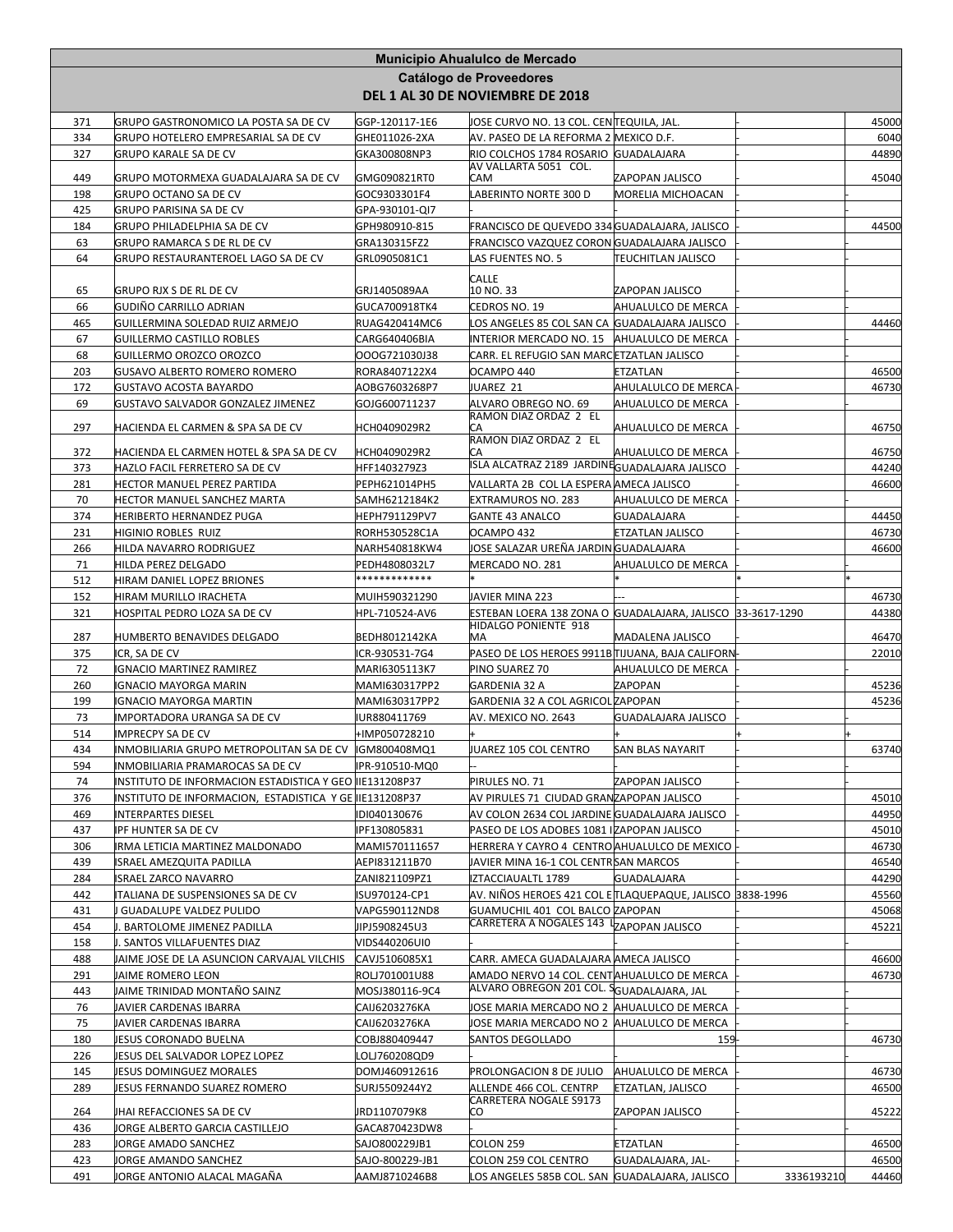| Municipio Ahualulco de Mercado<br>Catálogo de Proveedores |                                                                                                                    |                                 |                                                                                              |                               |            |                |
|-----------------------------------------------------------|--------------------------------------------------------------------------------------------------------------------|---------------------------------|----------------------------------------------------------------------------------------------|-------------------------------|------------|----------------|
|                                                           |                                                                                                                    |                                 | DEL 1 AL 30 DE NOVIEMBRE DE 2018                                                             |                               |            |                |
| 371                                                       | GRUPO GASTRONOMICO LA POSTA SA DE CV                                                                               | GGP-120117-1E6                  | JOSE CURVO NO. 13 COL. CEN∏EQUILA, JAL.                                                      |                               |            | 45000          |
| 334                                                       | GRUPO HOTELERO EMPRESARIAL SA DE CV                                                                                | GHE011026-2XA                   | AV. PASEO DE LA REFORMA 2 MEXICO D.F.                                                        |                               |            | 6040           |
| 327                                                       | <b>GRUPO KARALE SA DE CV</b>                                                                                       | GKA300808NP3                    | RIO COLCHOS 1784 ROSARIO GUADALAJARA<br>AV VALLARTA 5051 COL.                                |                               |            | 44890          |
| 449                                                       | GRUPO MOTORMEXA GUADALAJARA SA DE CV                                                                               | GMG090821RT0                    | CAM                                                                                          | ZAPOPAN JALISCO               |            | 45040          |
| 198                                                       | GRUPO OCTANO SA DE CV                                                                                              | GOC9303301F4                    | LABERINTO NORTE 300 D                                                                        | <b>MORELIA MICHOACAN</b>      |            |                |
| 425                                                       | <b>GRUPO PARISINA SA DE CV</b>                                                                                     | GPA-930101-QI7                  |                                                                                              |                               |            |                |
| 184<br>63                                                 | <b>GRUPO PHILADELPHIA SA DE CV</b><br>GRUPO RAMARCA S DE RL DE CV                                                  | GPH980910-815<br>GRA130315FZ2   | FRANCISCO DE QUEVEDO 334 GUADALAJARA, JALISCO<br>FRANCISCO VAZQUEZ CORON GUADALAJARA JALISCO |                               |            | 44500          |
| 64                                                        | <b>GRUPO RESTAURANTEROEL LAGO SA DE CV</b>                                                                         | GRL0905081C1                    | LAS FUENTES NO. 5                                                                            | <b>TEUCHITLAN JALISCO</b>     |            |                |
|                                                           |                                                                                                                    |                                 | CALLE                                                                                        |                               |            |                |
| 65                                                        | GRUPO RJX S DE RL DE CV                                                                                            | GRJ1405089AA                    | 10 NO. 33                                                                                    | ZAPOPAN JALISCO               |            |                |
| 66                                                        | GUDIÑO CARRILLO ADRIAN                                                                                             | GUCA700918TK4                   | CEDROS NO. 19                                                                                | AHUALULCO DE MERCA            |            |                |
| 465                                                       | GUILLERMINA SOLEDAD RUIZ ARMEJO                                                                                    | RUAG420414MC6                   | LOS ANGELES 85 COL SAN CA  GUADALAJARA JALISCO                                               |                               |            | 44460          |
| 67<br>68                                                  | <b>GUILLERMO CASTILLO ROBLES</b><br>GUILLERMO OROZCO OROZCO                                                        | CARG640406BIA<br>OOOG721030J38  | INTERIOR MERCADO NO. 15<br>CARR. EL REFUGIO SAN MARCETZATLAN JALISCO                         | AHUALULCO DE MERCA            |            |                |
| 203                                                       | GUSAVO ALBERTO ROMERO ROMERO                                                                                       | RORA8407122X4                   | OCAMPO 440                                                                                   | <b>ETZATLAN</b>               |            | 46500          |
| 172                                                       | <b>GUSTAVO ACOSTA BAYARDO</b>                                                                                      | AOBG7603268P7                   | JUAREZ 21                                                                                    | <b>AHULALULCO DE MERCA</b>    |            | 46730          |
| 69                                                        | GUSTAVO SALVADOR GONZALEZ JIMENEZ                                                                                  | GOJG600711237                   | ALVARO OBREGO NO. 69                                                                         | AHUALULCO DE MERCA            |            |                |
| 297                                                       | HACIENDA EL CARMEN & SPA SA DE CV                                                                                  | HCH0409029R2                    | RAMON DIAZ ORDAZ 2 EL<br>СA                                                                  | AHUALULCO DE MERCA            |            | 46750          |
|                                                           |                                                                                                                    |                                 | RAMON DIAZ ORDAZ 2 EL                                                                        |                               |            |                |
| 372                                                       | HACIENDA EL CARMEN HOTEL & SPA SA DE CV                                                                            | HCH0409029R2                    | СA<br>ISLA ALCATRAZ 2189 JARDINEGUADALAJARA JALISCO                                          | AHUALULCO DE MERCA            |            | 46750          |
| 373<br>281                                                | HAZLO FACIL FERRETERO SA DE CV<br>HECTOR MANUEL PEREZ PARTIDA                                                      | HFF1403279Z3<br>PEPH621014PH5   | VALLARTA 2B COL LA ESPERA AMECA JALISCO                                                      |                               |            | 44240<br>46600 |
| 70                                                        | HECTOR MANUEL SANCHEZ MARTA                                                                                        | SAMH6212184K2                   | EXTRAMUROS NO. 283                                                                           | AHUALULCO DE MERCA            |            |                |
| 374                                                       | HERIBERTO HERNANDEZ PUGA                                                                                           | HEPH791129PV7                   | <b>GANTE 43 ANALCO</b>                                                                       | <b>GUADALAJARA</b>            |            | 44450          |
| 231                                                       | HIGINIO ROBLES RUIZ                                                                                                | RORH530528C1A                   | OCAMPO 432                                                                                   | <b>ETZATLAN JALISCO</b>       |            | 46730          |
| 266                                                       | HILDA NAVARRO RODRIGUEZ                                                                                            | NARH540818KW4                   | JOSE SALAZAR UREÑA JARDIN GUADALAJARA                                                        |                               |            | 46600          |
| 71                                                        | HILDA PEREZ DELGADO                                                                                                | PEDH4808032L7                   | MERCADO NO. 281                                                                              | AHUALULCO DE MERCA            |            |                |
| 512                                                       | HIRAM DANIEL LOPEZ BRIONES                                                                                         | *************                   |                                                                                              |                               |            |                |
| 152<br>321                                                | HIRAM MURILLO IRACHETA<br>HOSPITAL PEDRO LOZA SA DE CV                                                             | MUIH590321290<br>HPL-710524-AV6 | JAVIER MINA 223<br>ESTEBAN LOERA 138 ZONA O GUADALAJARA, JALISCO 33-3617-1290                |                               |            | 46730<br>44380 |
|                                                           |                                                                                                                    |                                 | HIDALGO PONIENTE 918                                                                         |                               |            |                |
| 287                                                       | HUMBERTO BENAVIDES DELGADO                                                                                         | BEDH8012142KA                   | lМA                                                                                          | MADALENA JALISCO              |            | 46470          |
| 375<br>72                                                 | ICR, SA DE CV<br><b>IGNACIO MARTINEZ RAMIREZ</b>                                                                   | ICR-930531-7G4<br>MARI6305113K7 | PASEO DE LOS HEROES 9911B TIJUANA, BAJA CALIFORN<br>PINO SUAREZ 70                           |                               |            | 22010          |
| 260                                                       | IGNACIO MAYORGA MARIN                                                                                              | MAMI630317PP2                   | GARDENIA 32 A                                                                                | AHUALULCO DE MERCA<br>ZAPOPAN |            | 45236          |
| 199                                                       | IGNACIO MAYORGA MARTIN                                                                                             | MAMI630317PP2                   | GARDENIA 32 A COL AGRICOL ZAPOPAN                                                            |                               |            | 45236          |
| 73                                                        | IMPORTADORA URANGA SA DE CV                                                                                        | IUR880411769                    | AV. MEXICO NO. 2643                                                                          | GUADALAJARA JALISCO           |            |                |
| 514                                                       | IMPRECPY SA DE CV                                                                                                  | +IMP050728210                   |                                                                                              |                               |            |                |
| 434                                                       | INMOBILIARIA GRUPO METROPOLITAN SA DE CV  IGM800408MQ1                                                             |                                 | JUAREZ 105 COL CENTRO                                                                        | <b>SAN BLAS NAYARIT</b>       |            | 63740          |
| 594                                                       | INMOBILIARIA PRAMAROCAS SA DE CV                                                                                   | IPR-910510-MQ0                  |                                                                                              |                               |            |                |
| 74<br>376                                                 | INSTITUTO DE INFORMACION ESTADISTICA Y GEO IIE131208P37<br>INSTITUTO DE INFORMACION, ESTADISTICA Y GE IIE131208P37 |                                 | PIRULES NO. 71<br>AV PIRULES 71 CIUDAD GRANZAPOPAN JALISCO                                   | ZAPOPAN JALISCO               |            | 45010          |
| 469                                                       | INTERPARTES DIESEL                                                                                                 | IDI040130676                    | AV COLON 2634 COL JARDINE GUADALAJARA JALISCO                                                |                               |            | 44950          |
| 437                                                       | IPF HUNTER SA DE CV                                                                                                | IPF130805831                    | PASEO DE LOS ADOBES 1081 IZAPOPAN JALISCO                                                    |                               |            | 45010          |
| 306                                                       | IRMA LETICIA MARTINEZ MALDONADO                                                                                    | MAMI570111657                   | HERRERA Y CAYRO 4 CENTRO AHUALULCO DE MEXICO                                                 |                               |            | 46730          |
| 439                                                       | ISRAEL AMEZQUITA PADILLA                                                                                           | AEPI831211B70                   | JAVIER MINA 16-1 COL CENTRSAN MARCOS                                                         |                               |            | 46540          |
| 284                                                       | ISRAEL ZARCO NAVARRO                                                                                               | ZANI821109PZ1                   | IZTACCIAUALTL 1789                                                                           | GUADALAJARA                   |            | 44290          |
| 442                                                       | ITALIANA DE SUSPENSIONES SA DE CV                                                                                  | ISU970124-CP1                   | AV. NIÑOS HEROES 421 COL E∏LAQUEPAQUE, JALISCO  3838-1996                                    |                               |            | 45560          |
| 431<br>454                                                | GUADALUPE VALDEZ PULIDO<br>J. BARTOLOME JIMENEZ PADILLA                                                            | VAPG590112ND8<br>JIPJ5908245U3  | GUAMUCHIL 401 COL BALCO ZAPOPAN<br>CARRETERA A NOGALES 143 ZAPOPAN JALISCO                   |                               |            | 45068<br>45221 |
| 158                                                       | J. SANTOS VILLAFUENTES DIAZ                                                                                        | VIDS440206UI0                   |                                                                                              |                               |            |                |
| 488                                                       | JAIME JOSE DE LA ASUNCION CARVAJAL VILCHIS                                                                         | CAVJ5106085X1                   | CARR. AMECA GUADALAJARA AMECA JALISCO                                                        |                               |            | 46600          |
| 291                                                       | JAIME ROMERO LEON                                                                                                  | ROLJ701001U88                   | AMADO NERVO 14 COL. CENTAHUALULCO DE MERCA                                                   |                               |            | 46730          |
| 443                                                       | JAIME TRINIDAD MONTAÑO SAINZ                                                                                       | MOSJ380116-9C4                  | ALVARO OBREGON 201 COL. SGUADALAJARA, JAL                                                    |                               |            |                |
| 76                                                        | JAVIER CARDENAS IBARRA                                                                                             | CAIJ6203276KA                   | JOSE MARIA MERCADO NO 2  AHUALULCO DE MERCA                                                  |                               |            |                |
| 75                                                        | JAVIER CARDENAS IBARRA                                                                                             | CAIJ6203276KA                   | JOSE MARIA MERCADO NO 2  AHUALULCO DE MERCA                                                  |                               |            |                |
| 180<br>226                                                | JESUS CORONADO BUELNA<br>JESUS DEL SALVADOR LOPEZ LOPEZ                                                            | COBJ880409447<br>OLJ760208QD9.  | SANTOS DEGOLLADO                                                                             | 159                           |            | 46730          |
| 145                                                       | JESUS DOMINGUEZ MORALES                                                                                            | DOMJ460912616                   | PROLONGACION 8 DE JULIO                                                                      | AHUALULCO DE MERCA            |            | 46730          |
| 289                                                       | <b>JESUS FERNANDO SUAREZ ROMERO</b>                                                                                | SURJ5509244Y2                   | ALLENDE 466 COL. CENTRP                                                                      | ETZATLAN, JALISCO             |            | 46500          |
| 264                                                       | JHAI REFACCIONES SA DE CV                                                                                          | JRD1107079K8                    | CARRETERA NOGALE S9173<br>CO                                                                 | ZAPOPAN JALISCO               |            | 45222          |
| 436                                                       | JORGE ALBERTO GARCIA CASTILLEJO                                                                                    | GACA870423DW8                   |                                                                                              |                               |            |                |
| 283                                                       | JORGE AMADO SANCHEZ                                                                                                | SAJO800229JB1                   | COLON 259                                                                                    | ETZATLAN                      |            | 46500          |
| 423                                                       | JORGE AMANDO SANCHEZ                                                                                               | SAJO-800229-JB1                 | COLON 259 COL CENTRO                                                                         | GUADALAJARA, JAL-             |            | 46500          |
| 491                                                       | JORGE ANTONIO ALACAL MAGAÑA                                                                                        | AAMJ8710246B8                   | LOS ANGELES 585B COL. SAN GUADALAJARA, JALISCO                                               |                               | 3336193210 | 44460          |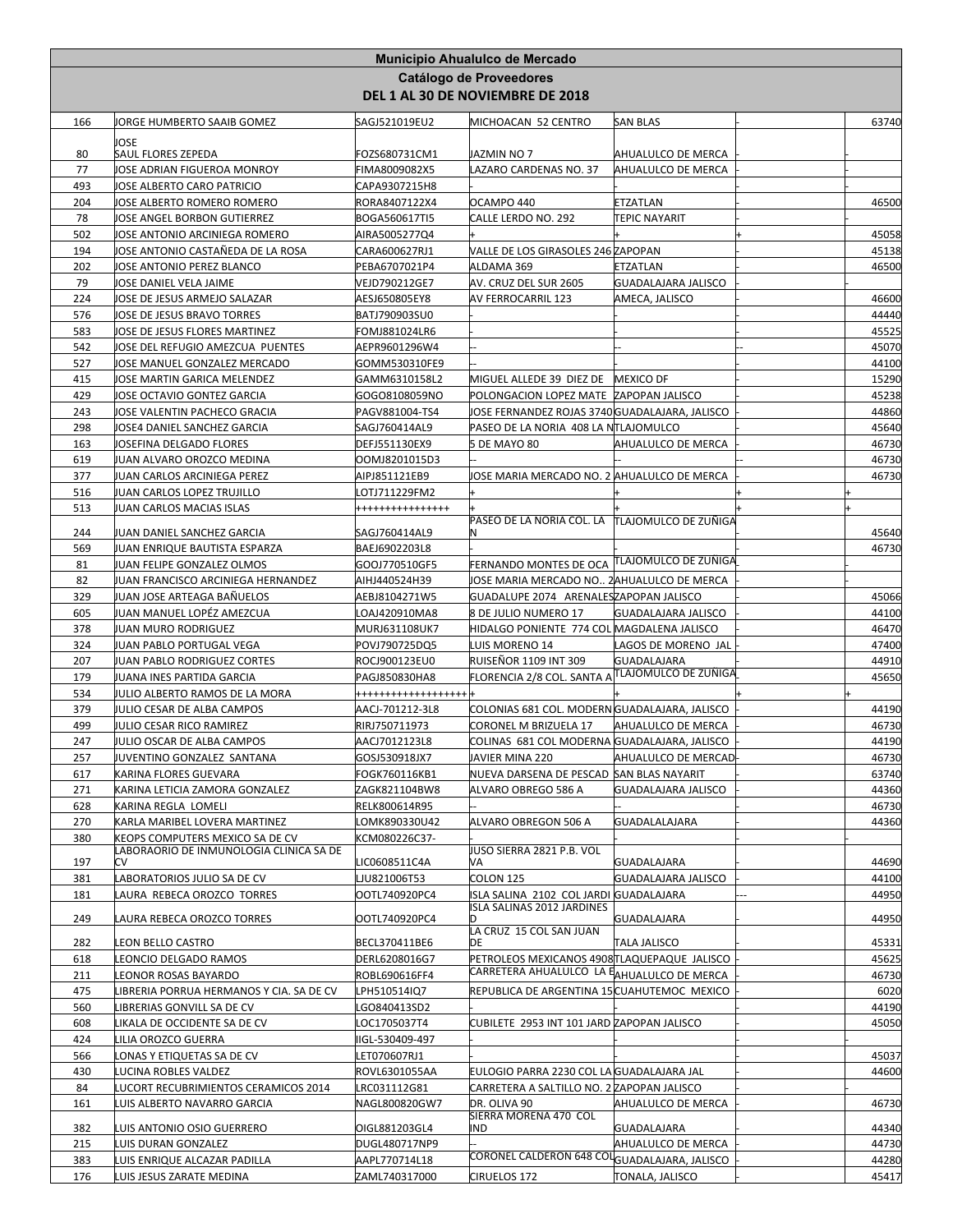|            |                                                                            |                                | Municipio Ahualulco de Mercado<br>Catálogo de Proveedores<br>DEL 1 AL 30 DE NOVIEMBRE DE 2018 |                                          |                |
|------------|----------------------------------------------------------------------------|--------------------------------|-----------------------------------------------------------------------------------------------|------------------------------------------|----------------|
|            |                                                                            |                                |                                                                                               |                                          |                |
| 166        | JORGE HUMBERTO SAAIB GOMEZ                                                 | SAGJ521019EU2                  | MICHOACAN 52 CENTRO                                                                           | <b>SAN BLAS</b>                          | 63740          |
|            | JOSE<br><b>SAUL FLORES ZEPEDA</b>                                          | FOZS680731CM1                  | JAZMIN NO 7                                                                                   |                                          |                |
| 80<br>77   | JOSE ADRIAN FIGUEROA MONROY                                                | FIMA8009082X5                  | LAZARO CARDENAS NO. 37                                                                        | AHUALULCO DE MERCA<br>AHUALULCO DE MERCA |                |
| 493        | JOSE ALBERTO CARO PATRICIO                                                 | CAPA9307215H8                  |                                                                                               |                                          |                |
| 204        | JOSE ALBERTO ROMERO ROMERO                                                 | RORA8407122X4                  | OCAMPO 440                                                                                    | ETZATLAN                                 | 46500          |
| 78         | JOSE ANGEL BORBON GUTIERREZ                                                | BOGA560617TI5                  | CALLE LERDO NO. 292                                                                           | TEPIC NAYARIT                            |                |
| 502        | JOSE ANTONIO ARCINIEGA ROMERO                                              | AIRA5005277Q4                  |                                                                                               |                                          | 45058          |
| 194        | JOSE ANTONIO CASTAÑEDA DE LA ROSA                                          | CARA600627RJ1                  | VALLE DE LOS GIRASOLES 246 ZAPOPAN                                                            |                                          | 45138          |
| 202        | JOSE ANTONIO PEREZ BLANCO                                                  | PEBA6707021P4                  | ALDAMA 369                                                                                    | ETZATLAN                                 | 46500          |
| 79         | JOSE DANIEL VELA JAIME                                                     | VEJD790212GE7                  | AV. CRUZ DEL SUR 2605                                                                         | GUADALAJARA JALISCO                      |                |
| 224<br>576 | JOSE DE JESUS ARMEJO SALAZAR<br>JOSE DE JESUS BRAVO TORRES                 | AESJ650805EY8<br>BATJ790903SU0 | AV FERROCARRIL 123                                                                            | AMECA, JALISCO                           | 46600<br>44440 |
| 583        | JOSE DE JESUS FLORES MARTINEZ                                              | FOMJ881024LR6                  |                                                                                               |                                          | 45525          |
| 542        | JOSE DEL REFUGIO AMEZCUA PUENTES                                           | AEPR9601296W4                  |                                                                                               |                                          | 45070          |
| 527        | JOSE MANUEL GONZALEZ MERCADO                                               | GOMM530310FE9                  |                                                                                               |                                          | 44100          |
| 415        | JOSE MARTIN GARICA MELENDEZ                                                | GAMM6310158L2                  | MIGUEL ALLEDE 39 DIEZ DE MEXICO DF                                                            |                                          | 15290          |
| 429        | JOSE OCTAVIO GONTEZ GARCIA                                                 | GOGO8108059NO                  | POLONGACION LOPEZ MATE ZAPOPAN JALISCO                                                        |                                          | 45238          |
| 243        | JOSE VALENTIN PACHECO GRACIA                                               | PAGV881004-TS4                 | JOSE FERNANDEZ ROJAS 3740 GUADALAJARA, JALISCO                                                |                                          | 44860          |
| 298        | JOSE4 DANIEL SANCHEZ GARCIA                                                | SAGJ760414AL9                  | PASEO DE LA NORIA 408 LA NTLAJOMULCO                                                          |                                          | 45640          |
| 163        | JOSEFINA DELGADO FLORES                                                    | DEFJ551130EX9                  | 5 DE MAYO 80                                                                                  | AHUALULCO DE MERCA                       | 46730          |
| 619        | JUAN ALVARO OROZCO MEDINA                                                  | OOMJ8201015D3<br>AIPJ851121EB9 |                                                                                               |                                          | 46730          |
| 377<br>516 | JUAN CARLOS ARCINIEGA PEREZ<br>JUAN CARLOS LOPEZ TRUJILLO                  | .OTJ711229FM2                  | IOSE MARIA MERCADO NO. 2 AHUALULCO DE MERCA                                                   |                                          | 46730          |
| 513        | JUAN CARLOS MACIAS ISLAS                                                   | +++++++++++++++                |                                                                                               |                                          |                |
|            |                                                                            |                                | PASEO DE LA NORIA COL. LA TTLAJOMULCO DE ZUÑIGA                                               |                                          |                |
| 244        | JUAN DANIEL SANCHEZ GARCIA                                                 | SAGJ760414AL9                  | N                                                                                             |                                          | 45640          |
| 569<br>81  | JUAN ENRIQUE BAUTISTA ESPARZA<br>JUAN FELIPE GONZALEZ OLMOS                | BAEJ6902203L8<br>GOOJ770510GF5 | <b>FERNANDO MONTES DE OCA TLAJOMULCO DE ZUÑIGA</b>                                            |                                          | 46730          |
| 82         | JUAN FRANCISCO ARCINIEGA HERNANDEZ                                         | AIHJ440524H39                  | JOSE MARIA MERCADO NO 2 AHUALULCO DE MERCA                                                    |                                          |                |
| 329        | JUAN JOSE ARTEAGA BAÑUELOS                                                 | AEBJ8104271W5                  | GUADALUPE 2074 ARENALESZAPOPAN JALISCO                                                        |                                          | 45066          |
| 605        | JUAN MANUEL LOPÉZ AMEZCUA                                                  | OAJ420910MA8                   | 8 DE JULIO NUMERO 17                                                                          | <b>GUADALAJARA JALISCO</b>               | 44100          |
| 378        | JUAN MURO RODRIGUEZ                                                        | MURJ631108UK7                  | HIDALGO PONIENTE 774 COL MAGDALENA JALISCO                                                    |                                          | 46470          |
| 324        | JUAN PABLO PORTUGAL VEGA                                                   | POVJ790725DQ5                  | LUIS MORENO 14                                                                                | LAGOS DE MORENO JAL                      | 47400          |
| 207        | JUAN PABLO RODRIGUEZ CORTES                                                | ROCJ900123EU0                  | RUISEÑOR 1109 INT 309                                                                         | GUADALAJARA                              | 44910          |
| 179        | JUANA INES PARTIDA GARCIA                                                  | PAGJ850830HA8                  | FLORENCIA 2/8 COL. SANTA A                                                                    | TLAJOMULCO DE ZUÑIGA                     | 45650          |
| 534        | UULIO ALBERTO RAMOS DE LA MORA                                             | +++++++++++++++++++            |                                                                                               |                                          |                |
| 379<br>499 | JULIO CESAR DE ALBA CAMPOS                                                 | AACJ-701212-3L8                | COLONIAS 681 COL. MODERN GUADALAJARA, JALISCO                                                 |                                          | 44190          |
| 247        | <b>JULIO CESAR RICO RAMIREZ</b><br>UULIO OSCAR DE ALBA CAMPOS              | RIRJ750711973<br>AACJ7012123L8 | CORONEL M BRIZUELA 17<br>COLINAS 681 COL MODERNA GUADALAJARA. JALISCO                         | AHUALULCO DE MERCA                       | 46730<br>44190 |
| 257        | JUVENTINO GONZALEZ SANTANA                                                 | GOSJ530918JX7                  | JAVIER MINA 220                                                                               | <b>AHUALULCO DE MERCAD</b>               | 46730          |
| 617        | KARINA FLORES GUEVARA                                                      | FOGK760116KB1                  | NUEVA DARSENA DE PESCAD SAN BLAS NAYARIT                                                      |                                          | 63740          |
| 271        | KARINA LETICIA ZAMORA GONZALEZ                                             | ZAGK821104BW8                  | ALVARO OBREGO 586 A                                                                           | GUADALAJARA JALISCO                      | 44360          |
| 628        | KARINA REGLA LOMELI                                                        | RELK800614R95                  |                                                                                               |                                          | 46730          |
| 270        | KARLA MARIBEL LOVERA MARTINEZ                                              | OMK890330U42.                  | ALVARO OBREGON 506 A                                                                          | GUADALALAJARA                            | 44360          |
| 380        | KEOPS COMPUTERS MEXICO SA DE CV<br>LABORAORIO DE INMUNOLOGIA CLINICA SA DE | KCM080226C37-                  | JUSO SIERRA 2821 P.B. VOL                                                                     |                                          |                |
| 197        | СV                                                                         | LIC0608511C4A                  | VA                                                                                            | <b>GUADALAJARA</b>                       | 44690          |
| 381        | LABORATORIOS JULIO SA DE CV                                                | JU821006T53                    | COLON 125                                                                                     | GUADALAJARA JALISCO                      | 44100          |
| 181        | LAURA REBECA OROZCO TORRES                                                 | OOTL740920PC4                  | ISLA SALINA 2102 COL JARDI GUADALAJARA                                                        |                                          | 44950          |
| 249        | LAURA REBECA OROZCO TORRES                                                 | OOTL740920PC4                  | ISLA SALINAS 2012 JARDINES<br>D                                                               | GUADALAJARA                              | 44950          |
|            |                                                                            |                                | LA CRUZ 15 COL SAN JUAN                                                                       |                                          |                |
| 282        | LEON BELLO CASTRO                                                          | BECL370411BE6                  | DE                                                                                            | TALA JALISCO                             | 45331          |
| 618        | LEONCIO DELGADO RAMOS                                                      | DERL6208016G7                  | PETROLEOS MEXICANOS 4908 TLAQUEPAQUE JALISCO<br>CARRETERA AHUALULCO LA EAHUALULCO DE MERCA    |                                          | 45625          |
| 211<br>475 | LEONOR ROSAS BAYARDO<br>IBRERIA PORRUA HERMANOS Y CIA. SA DE CV            | ROBL690616FF4<br>LPH510514IQ7  | REPUBLICA DE ARGENTINA 15 CUAHUTEMOC MEXICO                                                   |                                          | 46730<br>6020  |
| 560        | IBRERIAS GONVILL SA DE CV                                                  | GO840413SD2                    |                                                                                               |                                          | 44190          |
| 608        | IKALA DE OCCIDENTE SA DE CV                                                | OC1705037T4                    | CUBILETE 2953 INT 101 JARD ZAPOPAN JALISCO                                                    |                                          | 45050          |
| 424        | ILIA OROZCO GUERRA                                                         | IIGL-530409-497                |                                                                                               |                                          |                |
| 566        | ONAS Y ETIQUETAS SA DE CV.                                                 | ET070607RJ1 <b>.</b>           |                                                                                               |                                          | 45037          |
| 430        | LUCINA ROBLES VALDEZ                                                       | ROVL6301055AA                  | EULOGIO PARRA 2230 COL LA GUADALAJARA JAL                                                     |                                          | 44600          |
| 84         | LUCORT RECUBRIMIENTOS CERAMICOS 2014                                       | LRC031112G81                   | CARRETERA A SALTILLO NO. 2 ZAPOPAN JALISCO                                                    |                                          |                |
| 161        | LUIS ALBERTO NAVARRO GARCIA                                                | NAGL800820GW7                  | DR. OLIVA 90<br>SIERRA MORENA 470 COL                                                         | AHUALULCO DE MERCA                       | 46730          |
| 382        | LUIS ANTONIO OSIO GUERRERO                                                 | OIGL881203GL4                  | IND                                                                                           | <b>GUADALAJARA</b>                       | 44340          |
| 215        | LUIS DURAN GONZALEZ                                                        | DUGL480717NP9                  |                                                                                               | AHUALULCO DE MERCA                       | 44730          |
| 383        | LUIS ENRIQUE ALCAZAR PADILLA                                               | AAPL770714L18                  | CORONEL CALDERON 648 COLGUADALAJARA, JALISCO                                                  |                                          | 44280          |
| 176        | LUIS JESUS ZARATE MEDINA                                                   | ZAML740317000                  | CIRUELOS 172                                                                                  | TONALA, JALISCO                          | 45417          |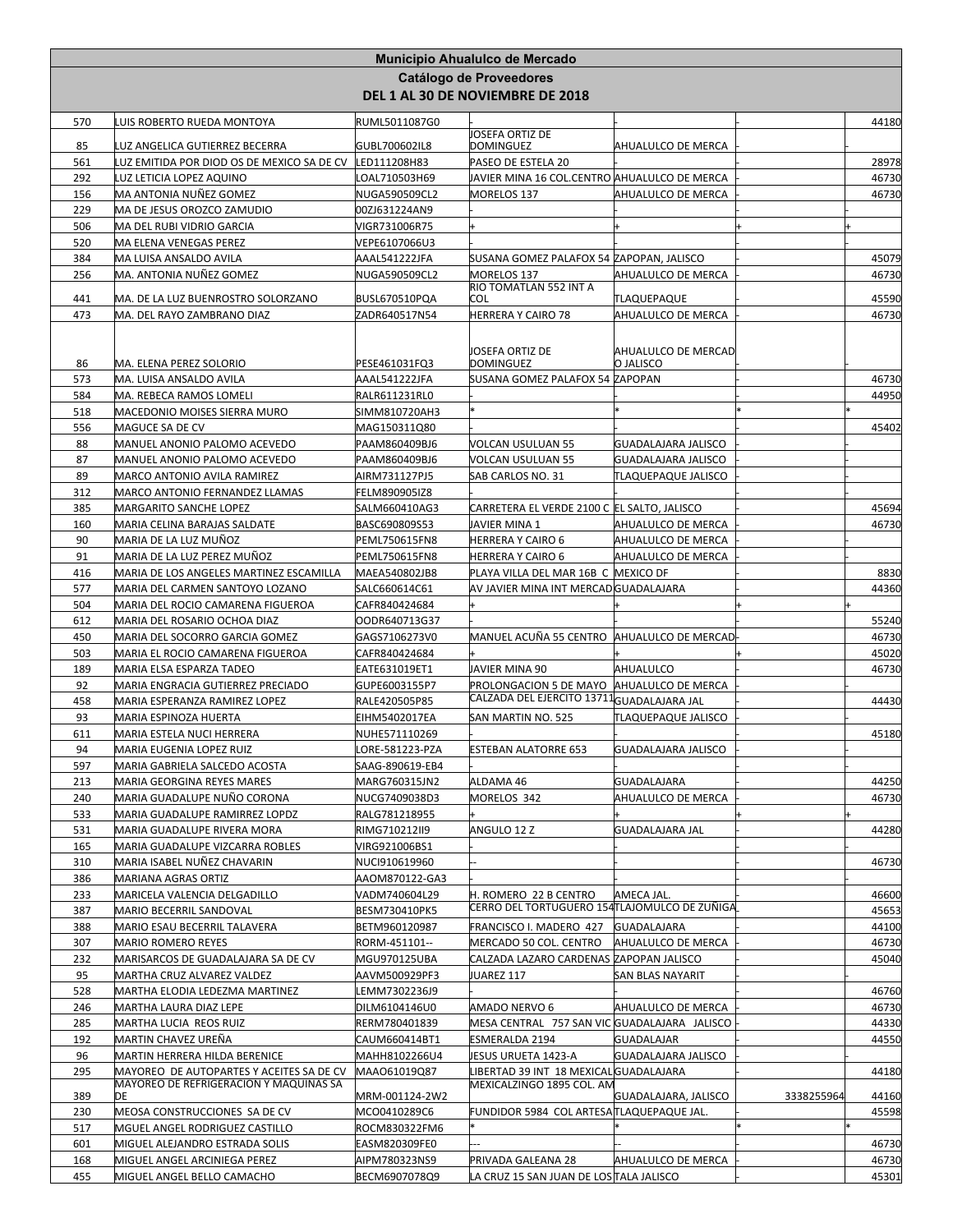|            |                                                                                    |                                | <b>Municipio Ahualulco de Mercado</b>                                 |                                   |            |                |
|------------|------------------------------------------------------------------------------------|--------------------------------|-----------------------------------------------------------------------|-----------------------------------|------------|----------------|
|            |                                                                                    |                                | <b>Catálogo de Proveedores</b>                                        |                                   |            |                |
|            |                                                                                    |                                | DEL 1 AL 30 DE NOVIEMBRE DE 2018                                      |                                   |            |                |
| 570        | LUIS ROBERTO RUEDA MONTOYA                                                         | RUML5011087G0                  |                                                                       |                                   |            | 44180          |
| 85         | UZ ANGELICA GUTIERREZ BECERRA                                                      | GUBL700602IL8                  | JOSEFA ORTIZ DE<br>DOMINGUEZ                                          | AHUALULCO DE MERCA                |            |                |
| 561        | LUZ EMITIDA POR DIOD OS DE MEXICO SA DE CV                                         | LED111208H83                   | PASEO DE ESTELA 20                                                    |                                   |            | 28978          |
| 292        | LUZ LETICIA LOPEZ AQUINO                                                           | LOAL710503H69                  | JAVIER MINA 16 COL.CENTRO AHUALULCO DE MERCA                          |                                   |            | 46730          |
| 156        | MA ANTONIA NUÑEZ GOMEZ                                                             | NUGA590509CL2                  | MORELOS 137                                                           | AHUALULCO DE MERCA                |            | 46730          |
| 229        | MA DE JESUS OROZCO ZAMUDIO                                                         | 00ZJ631224AN9                  |                                                                       |                                   |            |                |
| 506        | MA DEL RUBI VIDRIO GARCIA                                                          | VIGR731006R75                  |                                                                       |                                   |            |                |
| 520        | MA ELENA VENEGAS PEREZ                                                             | VEPE6107066U3                  |                                                                       |                                   |            |                |
| 384<br>256 | MA LUISA ANSALDO AVILA<br>MA. ANTONIA NUÑEZ GOMEZ                                  | AAAL541222JFA<br>NUGA590509CL2 | SUSANA GOMEZ PALAFOX 54 ZAPOPAN, JALISCO<br>MORELOS 137               | AHUALULCO DE MERCA                |            | 45079<br>46730 |
|            |                                                                                    |                                | RIO TOMATLAN 552 INT A                                                |                                   |            |                |
| 441        | MA. DE LA LUZ BUENROSTRO SOLORZANO                                                 | BUSL670510PQA                  | COL                                                                   | TLAQUEPAQUE                       |            | 45590          |
| 473        | MA. DEL RAYO ZAMBRANO DIAZ                                                         | ZADR640517N54                  | HERRERA Y CAIRO 78                                                    | AHUALULCO DE MERCA                |            | 46730          |
|            |                                                                                    |                                |                                                                       |                                   |            |                |
| 86         | MA. ELENA PEREZ SOLORIO                                                            | PESE461031FQ3                  | JOSEFA ORTIZ DE<br><b>DOMINGUEZ</b>                                   | AHUALULCO DE MERCAD<br>O JALISCO  |            |                |
| 573        | MA. LUISA ANSALDO AVILA                                                            | AAAL541222JFA                  | SUSANA GOMEZ PALAFOX 54 ZAPOPAN                                       |                                   |            | 46730          |
| 584        | MA. REBECA RAMOS LOMELI                                                            | RALR611231RL0                  |                                                                       |                                   |            | 44950          |
| 518        | MACEDONIO MOISES SIERRA MURO                                                       | SIMM810720AH3                  |                                                                       |                                   |            |                |
| 556        | MAGUCE SA DE CV                                                                    | MAG150311Q80                   |                                                                       |                                   |            | 45402          |
| 88         | MANUEL ANONIO PALOMO ACEVEDO                                                       | PAAM860409BJ6                  | VOLCAN USULUAN 55                                                     | GUADALAJARA JALISCO               |            |                |
| 87         | MANUEL ANONIO PALOMO ACEVEDO                                                       | PAAM860409BJ6                  | VOLCAN USULUAN 55                                                     | GUADALAJARA JALISCO               |            |                |
| 89<br>312  | MARCO ANTONIO AVILA RAMIREZ<br>MARCO ANTONIO FERNANDEZ LLAMAS                      | AIRM731127PJ5<br>FELM890905IZ8 | SAB CARLOS NO. 31                                                     | TLAQUEPAQUE JALISCO               |            |                |
| 385        | MARGARITO SANCHE LOPEZ                                                             | SALM660410AG3                  | CARRETERA EL VERDE 2100 C  EL SALTO, JALISCO                          |                                   |            | 45694          |
| 160        | MARIA CELINA BARAJAS SALDATE                                                       | BASC690809S53                  | JAVIER MINA 1                                                         | AHUALULCO DE MERCA                |            | 46730          |
| 90         | MARIA DE LA LUZ MUÑOZ                                                              | PEML750615FN8                  | HERRERA Y CAIRO 6                                                     | AHUALULCO DE MERCA                |            |                |
| 91         | MARIA DE LA LUZ PEREZ MUÑOZ                                                        | <b>PEML750615FN8</b>           | HERRERA Y CAIRO 6                                                     | AHUALULCO DE MERCA                |            |                |
| 416        | MARIA DE LOS ANGELES MARTINEZ ESCAMILLA                                            | MAEA540802JB8                  | PLAYA VILLA DEL MAR 16B C MEXICO DF                                   |                                   |            | 8830           |
| 577        | MARIA DEL CARMEN SANTOYO LOZANO                                                    | SALC660614C61                  | AV JAVIER MINA INT MERCAD GUADALAJARA                                 |                                   |            | 44360          |
| 504        | MARIA DEL ROCIO CAMARENA FIGUEROA                                                  | CAFR840424684                  |                                                                       |                                   |            |                |
| 612        | MARIA DEL ROSARIO OCHOA DIAZ                                                       | OODR640713G37                  |                                                                       |                                   |            | 55240          |
| 450<br>503 | MARIA DEL SOCORRO GARCIA GOMEZ<br>MARIA EL ROCIO CAMARENA FIGUEROA                 | GAGS7106273V0<br>CAFR840424684 | MANUEL ACUÑA 55 CENTRO  AHUALULCO DE MERCAD                           |                                   |            | 46730<br>45020 |
| 189        | MARIA ELSA ESPARZA TADEO                                                           | EATE631019ET1                  | JAVIER MINA 90                                                        | AHUALULCO                         |            | 46730          |
| 92         | MARIA ENGRACIA GUTIERREZ PRECIADO                                                  | GUPE6003155P7                  | PROLONGACION 5 DE MAYO                                                | AHUALULCO DE MERCA                |            |                |
| 458        | MARIA ESPERANZA RAMIREZ LOPEZ                                                      | RALE420505P85                  | CALZADA DEL EJERCITO 13711 <mark>GUADALAJARA JAL</mark>               |                                   |            | 44430          |
| 93         | MARIA ESPINOZA HUERTA                                                              | EIHM5402017EA                  | SAN MARTIN NO. 525                                                    | <b><i>FLAQUEPAQUE JALISCO</i></b> |            |                |
| 611        | MARIA ESTELA NUCI HERRERA                                                          | NUHE571110269                  |                                                                       |                                   |            | 45180          |
| 94         | MARIA EUGENIA LOPEZ RUIZ                                                           | LORE-581223-PZA                | ESTEBAN ALATORRE 653                                                  | GUADALAJARA JALISCO               |            |                |
| 597        | MARIA GABRIELA SALCEDO ACOSTA<br>MARIA GEORGINA REYES MARES                        | SAAG-890619-EB4                | ALDAMA 46                                                             | <b>GUADALAJARA</b>                |            |                |
| 213<br>240 | MARIA GUADALUPE NUÑO CORONA                                                        | MARG760315JN2<br>NUCG7409038D3 | MORELOS 342                                                           | AHUALULCO DE MERCA                |            | 44250<br>46730 |
| 533        | MARIA GUADALUPE RAMIRREZ LOPDZ                                                     | RALG781218955                  |                                                                       |                                   |            |                |
| 531        | MARIA GUADALUPE RIVERA MORA                                                        | RIMG710212II9                  | ANGULO 12 Z                                                           | GUADALAJARA JAL                   |            | 44280          |
| 165        | MARIA GUADALUPE VIZCARRA ROBLES                                                    | VIRG921006BS1                  |                                                                       |                                   |            |                |
| 310        | MARIA ISABEL NUÑEZ CHAVARIN                                                        | NUCI910619960                  |                                                                       |                                   |            | 46730          |
| 386        | MARIANA AGRAS ORTIZ                                                                | AAOM870122-GA3                 |                                                                       |                                   |            |                |
| 233        | MARICELA VALENCIA DELGADILLO                                                       | VADM740604L29                  | H. ROMERO 22 B CENTRO<br>CERRO DEL TORTUGUERO 154TLAJOMULCO DE ZUÑIGA | AMECA JAL.                        |            | 46600          |
| 387<br>388 | MARIO BECERRIL SANDOVAL<br>MARIO ESAU BECERRIL TALAVERA                            | BESM730410PK5<br>BETM960120987 | FRANCISCO I. MADERO 427                                               | <b>GUADALAJARA</b>                |            | 45653<br>44100 |
| 307        | MARIO ROMERO REYES                                                                 | RORM-451101--                  | MERCADO 50 COL. CENTRO                                                | AHUALULCO DE MERCA                |            | 46730          |
| 232        | MARISARCOS DE GUADALAJARA SA DE CV                                                 | MGU970125UBA                   | CALZADA LAZARO CARDENAS ZAPOPAN JALISCO                               |                                   |            | 45040          |
| 95         | MARTHA CRUZ ALVAREZ VALDEZ                                                         | AAVM500929PF3                  | JUAREZ 117                                                            | SAN BLAS NAYARIT                  |            |                |
| 528        | MARTHA ELODIA LEDEZMA MARTINEZ                                                     | LEMM7302236J9                  |                                                                       |                                   |            | 46760          |
| 246        | MARTHA LAURA DIAZ LEPE                                                             | DILM6104146U0                  | AMADO NERVO 6                                                         | AHUALULCO DE MERCA                |            | 46730          |
| 285        | MARTHA LUCIA REOS RUIZ                                                             | RERM780401839                  | MESA CENTRAL 757 SAN VIC GUADALAJARA JALISCO                          |                                   |            | 44330          |
| 192        | MARTIN CHAVEZ UREÑA                                                                | CAUM660414BT1                  | ESMERALDA 2194                                                        | GUADALAJAR                        |            | 44550          |
| 96         | MARTIN HERRERA HILDA BERENICE                                                      | MAHH8102266U4                  | JESUS URUETA 1423-A                                                   | GUADALAJARA JALISCO               |            |                |
| 295        | MAYOREO DE AUTOPARTES Y ACEITES SA DE CV<br>MAYOREO DE REFRIGERACION Y MAQUINAS SA | MAAO61019Q87                   | LIBERTAD 39 INT 18 MEXICAL GUADALAJARA<br>MEXICALZINGO 1895 COL. AM   |                                   |            | 44180          |
| 389        | DE                                                                                 | MRM-001124-2W2                 |                                                                       | GUADALAJARA, JALISCO              | 3338255964 | 44160          |
| 230        | MEOSA CONSTRUCCIONES SA DE CV                                                      | MCO0410289C6                   | FUNDIDOR 5984 COL ARTESA TLAQUEPAQUE JAL.                             |                                   |            | 45598          |
| 517        | MGUEL ANGEL RODRIGUEZ CASTILLO                                                     | ROCM830322FM6                  |                                                                       |                                   |            |                |
| 601<br>168 | MIGUEL ALEJANDRO ESTRADA SOLIS<br>MIGUEL ANGEL ARCINIEGA PEREZ                     | EASM820309FE0<br>AIPM780323NS9 | PRIVADA GALEANA 28                                                    | AHUALULCO DE MERCA                |            | 46730<br>46730 |
| 455        | MIGUEL ANGEL BELLO CAMACHO                                                         | BECM6907078Q9                  | LA CRUZ 15 SAN JUAN DE LOS∏ALA JALISCO                                |                                   |            | 45301          |
|            |                                                                                    |                                |                                                                       |                                   |            |                |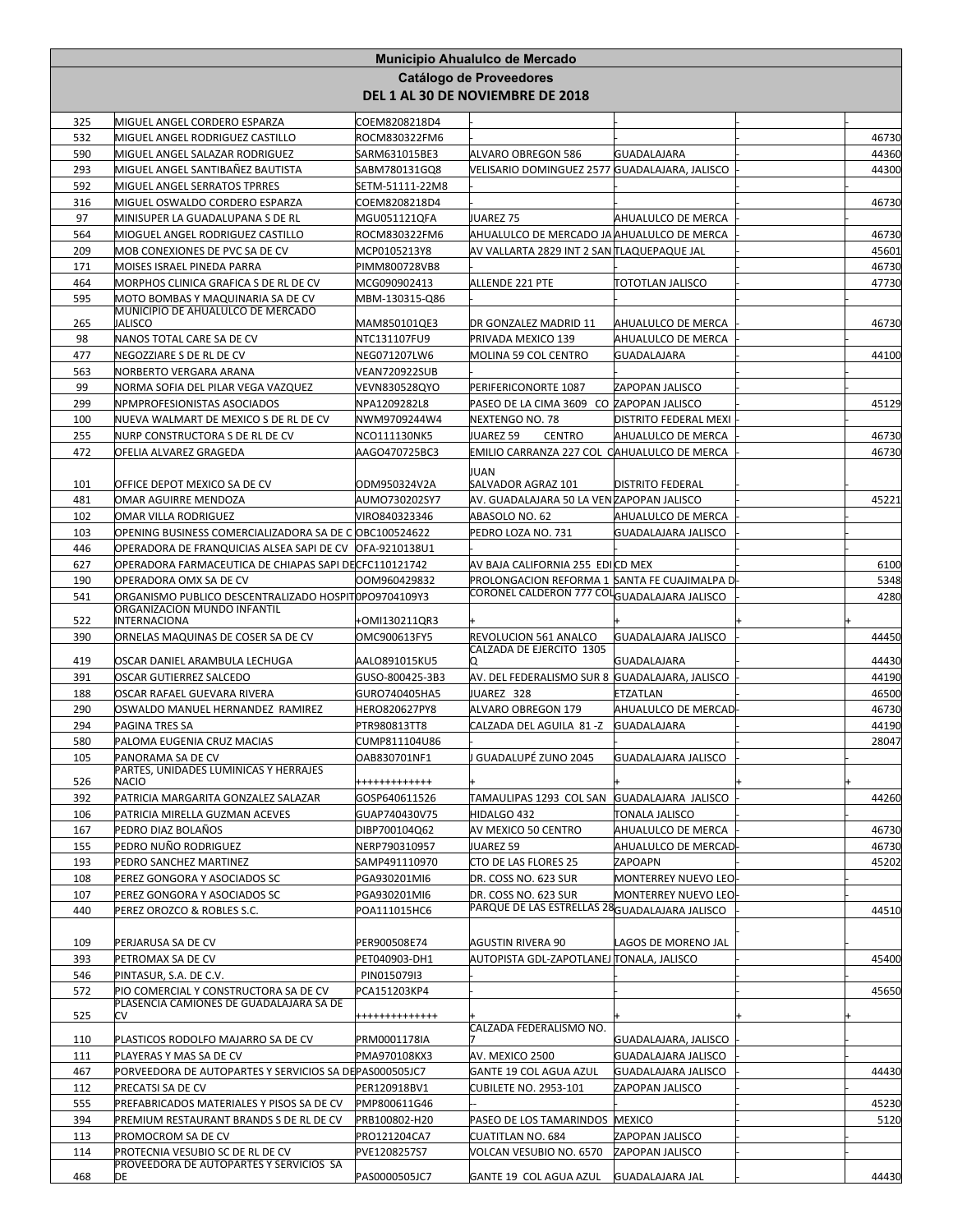|            |                                                                        |                                  | Municipio Ahualulco de Mercado                                     |                                    |                |
|------------|------------------------------------------------------------------------|----------------------------------|--------------------------------------------------------------------|------------------------------------|----------------|
|            |                                                                        |                                  | <b>Catálogo de Proveedores</b><br>DEL 1 AL 30 DE NOVIEMBRE DE 2018 |                                    |                |
| 325        | MIGUEL ANGEL CORDERO ESPARZA                                           | COEM8208218D4                    |                                                                    |                                    |                |
| 532        | MIGUEL ANGEL RODRIGUEZ CASTILLO                                        | ROCM830322FM6                    |                                                                    |                                    | 46730          |
| 590        | MIGUEL ANGEL SALAZAR RODRIGUEZ                                         | SARM631015BE3                    | ALVARO OBREGON 586                                                 | <b>GUADALAJARA</b>                 | 44360          |
| 293<br>592 | MIGUEL ANGEL SANTIBAÑEZ BAUTISTA<br>MIGUEL ANGEL SERRATOS TPRRES       | SABM780131GQ8<br>SETM-51111-22M8 | VELISARIO DOMINGUEZ 2577 GUADALAJARA, JALISCO                      |                                    | 44300          |
| 316        | MIGUEL OSWALDO CORDERO ESPARZA                                         | COEM8208218D4                    |                                                                    |                                    | 46730          |
| 97         | MINISUPER LA GUADALUPANA S DE RL                                       | MGU051121QFA                     | JUAREZ 75                                                          | AHUALULCO DE MERCA                 |                |
| 564        | MIOGUEL ANGEL RODRIGUEZ CASTILLO                                       | ROCM830322FM6                    | AHUALULCO DE MERCADO JA AHUALULCO DE MERCA                         |                                    | 46730          |
| 209        | MOB CONEXIONES DE PVC SA DE CV                                         | MCP0105213Y8                     | AV VALLARTA 2829 INT 2 SAN TLAQUEPAQUE JAL                         |                                    | 45601          |
| 171        | MOISES ISRAEL PINEDA PARRA                                             | <b>PIMM800728VB8</b>             |                                                                    |                                    | 46730          |
| 464        | MORPHOS CLINICA GRAFICA S DE RL DE CV                                  | MCG090902413                     | ALLENDE 221 PTE                                                    | TOTOTLAN JALISCO                   | 47730          |
| 595        | MOTO BOMBAS Y MAQUINARIA SA DE CV<br>MUNICIPIO DE AHUALULCO DE MERCADO | MBM-130315-Q86                   |                                                                    |                                    |                |
| 265        | JALISCO                                                                | MAM850101QE3                     | DR GONZALEZ MADRID 11                                              | <b>AHUALULCO DE MERCA</b>          | 46730          |
| 98         | NANOS TOTAL CARE SA DE CV                                              | NTC131107FU9                     | PRIVADA MEXICO 139                                                 | <b>AHUALULCO DE MERCA</b>          |                |
| 477        | NEGOZZIARE S DE RL DE CV                                               | NEG071207LW6                     | MOLINA 59 COL CENTRO                                               | GUADALAJARA                        | 44100          |
| 563        | NORBERTO VERGARA ARANA                                                 | <b>VEAN720922SUB</b>             |                                                                    |                                    |                |
| 99         | NORMA SOFIA DEL PILAR VEGA VAZQUEZ                                     | VEVN830528QYO                    | PERIFERICONORTE 1087                                               | ZAPOPAN JALISCO                    |                |
| 299        | NPMPROFESIONISTAS ASOCIADOS                                            | NPA1209282L8                     | PASEO DE LA CIMA 3609 CO ZAPOPAN JALISCO                           |                                    | 45129          |
| 100        | NUEVA WALMART DE MEXICO S DE RL DE CV                                  | NWM9709244W4                     | NEXTENGO NO. 78                                                    | DISTRITO FEDERAL MEXI              |                |
| 255        | NURP CONSTRUCTORA S DE RL DE CV<br>OFELIA ALVAREZ GRAGEDA              | NCO111130NK5                     | JUAREZ 59<br><b>CENTRO</b>                                         | AHUALULCO DE MERCA                 | 46730          |
| 472        |                                                                        | AAGO470725BC3                    | EMILIO CARRANZA 227 COL CAHUALULCO DE MERCA                        |                                    | 46730          |
| 101        | OFFICE DEPOT MEXICO SA DE CV                                           | ODM950324V2A                     | JUAN<br>SALVADOR AGRAZ 101                                         | <b>DISTRITO FEDERAL</b>            |                |
| 481        | OMAR AGUIRRE MENDOZA                                                   | AUMO730202SY7                    | AV. GUADALAJARA 50 LA VENZAPOPAN JALISCO                           |                                    | 45221          |
| 102        | OMAR VILLA RODRIGUEZ                                                   | VIRO840323346                    | ABASOLO NO. 62                                                     | <b>AHUALULCO DE MERCA</b>          |                |
| 103        | OPENING BUSINESS COMERCIALIZADORA SA DE C OBC100524622                 |                                  | PEDRO LOZA NO. 731                                                 | GUADALAJARA JALISCO                |                |
| 446        | OPERADORA DE FRANQUICIAS ALSEA SAPI DE CV                              | OFA-9210138U1                    |                                                                    |                                    |                |
| 627        | OPERADORA FARMACEUTICA DE CHIAPAS SAPI DECFC110121742                  |                                  | AV BAJA CALIFORNIA 255 EDICD MEX                                   |                                    | 6100           |
| 190        | OPERADORA OMX SA DE CV                                                 | OOM960429832                     | PROLONGACION REFORMA 1 SANTA FE CUAJIMALPA D                       |                                    | 5348           |
| 541        | ORGANISMO PUBLICO DESCENTRALIZADO HOSPITOPO9704109Y3                   |                                  | CORONEL CALDERON 777 COLGUADALAJARA JALISCO                        |                                    | 4280           |
| 522        | ORGANIZACION MUNDO INFANTIL<br>INTERNACIONA                            | +OMI130211QR3                    |                                                                    |                                    |                |
| 390        | ORNELAS MAQUINAS DE COSER SA DE CV                                     | OMC900613FY5                     | REVOLUCION 561 ANALCO                                              | GUADALAJARA JALISCO                | 44450          |
|            |                                                                        |                                  | CALZADA DE EJERCITO 1305                                           |                                    |                |
| 419<br>391 | OSCAR DANIEL ARAMBULA LECHUGA                                          | AALO891015KU5<br>GUSO-800425-3B3 | 10.                                                                | <b>GUADALAJARA</b>                 | 44430<br>44190 |
| 188        | OSCAR GUTIERREZ SALCEDO<br>OSCAR RAFAEL GUEVARA RIVERA                 | GURO740405HA5                    | AV. DEL FEDERALISMO SUR 8 GUADALAJARA, JALISCO<br>JUAREZ 328       | <b>ETZATLAN</b>                    | 46500          |
| 290        | OSWALDO MANUEL HERNANDEZ RAMIREZ                                       | HERO820627PY8                    | ALVARO OBREGON 179                                                 | <b>AHUALULCO DE MERCAD</b>         | 46730          |
| 294        | PAGINA TRES SA                                                         | PTR980813TT8                     | CALZADA DEL AGUILA 81 -Z                                           | <b>GUADALAJARA</b>                 | 44190          |
| 580        | PALOMA EUGENIA CRUZ MACIAS                                             | CUMP811104U86                    |                                                                    |                                    | 28047          |
| 105        | PANORAMA SA DE CV                                                      | OAB830701NF1                     | I GUADALUPÉ ZUNO 2045                                              | GUADALAJARA JALISCO                |                |
| 526        | PARTES, UNIDADES LUMINICAS Y HERRAJES<br>NACIO                         | ++++++++++++                     |                                                                    |                                    |                |
| 392        | PATRICIA MARGARITA GONZALEZ SALAZAR                                    | GOSP640611526                    | TAMAULIPAS 1293 COL SAN GUADALAJARA JALISCO                        |                                    | 44260          |
| 106        | PATRICIA MIRELLA GUZMAN ACEVES                                         | GUAP740430V75                    | HIDALGO 432                                                        | TONALA JALISCO                     |                |
| 167        | PEDRO DIAZ BOLAÑOS                                                     | DIBP700104Q62                    | AV MEXICO 50 CENTRO                                                | AHUALULCO DE MERCA                 | 46730          |
| 155        | PEDRO NUÑO RODRIGUEZ                                                   | NERP790310957                    | JUAREZ 59                                                          | AHUALULCO DE MERCAD                | 46730          |
| 193        | PEDRO SANCHEZ MARTINEZ                                                 | SAMP491110970                    | CTO DE LAS FLORES 25                                               | ZAPOAPN                            | 45202          |
| 108        | PEREZ GONGORA Y ASOCIADOS SC                                           | PGA930201MI6                     | DR. COSS NO. 623 SUR                                               | MONTERREY NUEVO LEO                |                |
| 107        | PEREZ GONGORA Y ASOCIADOS SC                                           | PGA930201MI6                     | DR. COSS NO. 623 SUR                                               | MONTERREY NUEVO LEO                |                |
| 440        | PEREZ OROZCO & ROBLES S.C.                                             | POA111015HC6                     | PARQUE DE LAS ESTRELLAS 28 GUADALAJARA JALISCO                     |                                    | 44510          |
|            |                                                                        |                                  | <b>AGUSTIN RIVERA 90</b>                                           |                                    |                |
| 109<br>393 | PERJARUSA SA DE CV<br>PETROMAX SA DE CV                                | PER900508E74<br>PET040903-DH1    | AUTOPISTA GDL-ZAPOTLANEJ TONALA, JALISCO                           | LAGOS DE MORENO JAL                | 45400          |
| 546        | PINTASUR, S.A. DE C.V.                                                 | PIN015079I3                      |                                                                    |                                    |                |
| 572        | PIO COMERCIAL Y CONSTRUCTORA SA DE CV                                  | PCA151203KP4                     |                                                                    |                                    | 45650          |
|            | PLASENCIA CAMIONES DE GUADALAJARA SA DE                                |                                  |                                                                    |                                    |                |
| 525        | cv                                                                     | +++++++++++++                    | CALZADA FEDERALISMO NO.                                            |                                    |                |
| 110        | PLASTICOS RODOLFO MAJARRO SA DE CV                                     | PRM0001178IA                     |                                                                    | GUADALAJARA, JALISCO               |                |
| 111        | PLAYERAS Y MAS SA DE CV                                                | PMA970108KX3                     | AV. MEXICO 2500                                                    | GUADALAJARA JALISCO                |                |
| 467        | PORVEEDORA DE AUTOPARTES Y SERVICIOS SA DEPAS000505JC7                 |                                  | GANTE 19 COL AGUA AZUL                                             | GUADALAJARA JALISCO                | 44430          |
| 112        | PRECATSI SA DE CV                                                      | PER120918BV1                     | <b>CUBILETE NO. 2953-101</b>                                       | ZAPOPAN JALISCO                    |                |
| 555        | PREFABRICADOS MATERIALES Y PISOS SA DE CV                              | PMP800611G46                     |                                                                    |                                    | 45230          |
| 394        | PREMIUM RESTAURANT BRANDS S DE RL DE CV                                | PRB100802-H20                    | PASEO DE LOS TAMARINDOS MEXICO                                     |                                    | 5120           |
| 113<br>114 | PROMOCROM SA DE CV<br>PROTECNIA VESUBIO SC DE RL DE CV                 | PRO121204CA7<br>PVE1208257S7     | <b>CUATITLAN NO. 684</b><br>VOLCAN VESUBIO NO. 6570                | ZAPOPAN JALISCO<br>ZAPOPAN JALISCO |                |
|            | PROVEEDORA DE AUTOPARTES Y SERVICIOS SA                                |                                  |                                                                    |                                    |                |
| 468        | DE                                                                     | PAS0000505JC7                    | GANTE 19 COL AGUA AZUL                                             | <b>GUADALAJARA JAL</b>             | 44430          |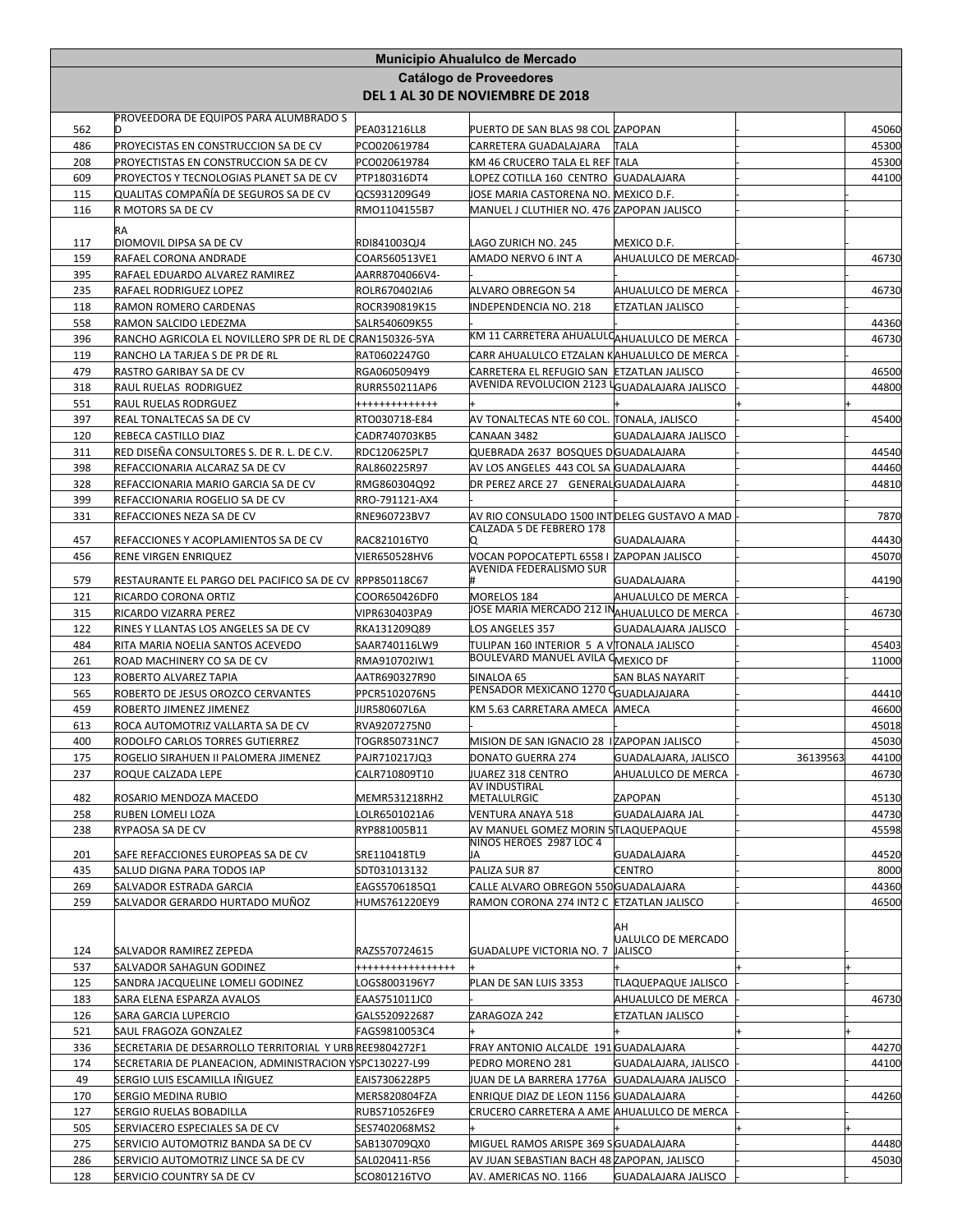|            |                                                                                          |                                       | Municipio Ahualulco de Mercado                                                |                                    |          |       |
|------------|------------------------------------------------------------------------------------------|---------------------------------------|-------------------------------------------------------------------------------|------------------------------------|----------|-------|
|            |                                                                                          |                                       | Catálogo de Proveedores                                                       |                                    |          |       |
|            |                                                                                          |                                       | DEL 1 AL 30 DE NOVIEMBRE DE 2018                                              |                                    |          |       |
| 562        | PROVEEDORA DE EQUIPOS PARA ALUMBRADO S<br>D                                              |                                       |                                                                               |                                    |          | 45060 |
| 486        | PROYECISTAS EN CONSTRUCCION SA DE CV                                                     | PEA031216LL8<br>PCO020619784          | PUERTO DE SAN BLAS 98 COL ZAPOPAN<br>CARRETERA GUADALAJARA                    | <b>TALA</b>                        |          | 45300 |
| 208        | PROYECTISTAS EN CONSTRUCCION SA DE CV                                                    | PCO020619784                          | KM 46 CRUCERO TALA EL REF TALA                                                |                                    |          | 45300 |
| 609        | PROYECTOS Y TECNOLOGIAS PLANET SA DE CV                                                  | PTP180316DT4                          | LOPEZ COTILLA 160 CENTRO GUADALAJARA                                          |                                    |          | 44100 |
| 115        | QUALITAS COMPAÑÍA DE SEGUROS SA DE CV                                                    | QCS931209G49                          | JOSE MARIA CASTORENA NO.  MEXICO D.F.                                         |                                    |          |       |
| 116        | R MOTORS SA DE CV                                                                        | RMO1104155B7                          | MANUEL J CLUTHIER NO. 476 ZAPOPAN JALISCO                                     |                                    |          |       |
|            | RA                                                                                       |                                       |                                                                               |                                    |          |       |
| 117        | DIOMOVIL DIPSA SA DE CV<br>RAFAEL CORONA ANDRADE                                         | RDI841003QJ4                          | LAGO ZURICH NO. 245<br>AMADO NERVO 6 INT A                                    | MEXICO D.F.<br>AHUALULCO DE MERCAD |          |       |
| 159<br>395 | RAFAEL EDUARDO ALVAREZ RAMIREZ                                                           | COAR560513VE1<br>AARR8704066V4-       |                                                                               |                                    |          | 46730 |
| 235        | RAFAEL RODRIGUEZ LOPEZ                                                                   | ROLR670402IA6                         | ALVARO OBREGON 54                                                             | AHUALULCO DE MERCA                 |          | 46730 |
| 118        | RAMON ROMERO CARDENAS                                                                    | ROCR390819K15                         | <b>INDEPENDENCIA NO. 218</b>                                                  | ETZATLAN JALISCO                   |          |       |
| 558        | RAMON SALCIDO LEDEZMA                                                                    | SALR540609K55                         |                                                                               |                                    |          | 44360 |
| 396        | RANCHO AGRICOLA EL NOVILLERO SPR DE RL DE CRAN150326-5YA                                 |                                       | KM 11 CARRETERA AHUALULCAHUALULCO DE MERCA                                    |                                    |          | 46730 |
| 119        | RANCHO LA TARJEA S DE PR DE RL                                                           | RAT0602247G0                          | CARR AHUALULCO ETZALAN KAHUALULCO DE MERCA                                    |                                    |          |       |
| 479        | RASTRO GARIBAY SA DE CV                                                                  | RGA0605094Y9                          | CARRETERA EL REFUGIO SAN<br>AVENIDA REVOLUCION 2123 LGUADALAJARA JALISCO      | <b>ETZATLAN JALISCO</b>            |          | 46500 |
| 318<br>551 | RAUL RUELAS RODRIGUEZ<br>RAUL RUELAS RODRGUEZ                                            | <b>RURR550211AP6</b><br>+++++++++++++ |                                                                               |                                    |          | 44800 |
| 397        | REAL TONALTECAS SA DE CV                                                                 | RTO030718-E84                         | AV TONALTECAS NTE 60 COL. [TONALA, JALISCO                                    |                                    |          | 45400 |
| 120        | REBECA CASTILLO DIAZ                                                                     | CADR740703KB5                         | CANAAN 3482                                                                   | GUADALAJARA JALISCO                |          |       |
| 311        | RED DISEÑA CONSULTORES S. DE R. L. DE C.V.                                               | RDC120625PL7                          | QUEBRADA 2637 BOSQUES DGUADALAJARA                                            |                                    |          | 44540 |
| 398        | REFACCIONARIA ALCARAZ SA DE CV                                                           | RAL860225R97                          | AV LOS ANGELES 443 COL SA GUADALAJARA                                         |                                    |          | 44460 |
| 328        | REFACCIONARIA MARIO GARCIA SA DE CV                                                      | RMG860304Q92                          | DR PEREZ ARCE 27 GENERALGUADALAJARA                                           |                                    |          | 44810 |
| 399        | REFACCIONARIA ROGELIO SA DE CV                                                           | RRO-791121-AX4                        |                                                                               |                                    |          |       |
| 331        | REFACCIONES NEZA SA DE CV                                                                | RNE960723BV7                          | AV RIO CONSULADO 1500 INT DELEG GUSTAVO A MAD<br>CALZADA 5 DE FEBRERO 178     |                                    |          | 7870  |
| 457        | REFACCIONES Y ACOPLAMIENTOS SA DE CV                                                     | RAC821016TY0                          | О                                                                             | GUADALAJARA                        |          | 44430 |
| 456        | RENE VIRGEN ENRIQUEZ                                                                     | VIER650528HV6                         | VOCAN POPOCATEPTL 6558 I ZAPOPAN JALISCO<br>AVENIDA FEDERALISMO SUR           |                                    |          | 45070 |
| 579        | RESTAURANTE EL PARGO DEL PACIFICO SA DE CV RPP850118C67                                  |                                       |                                                                               | <b>GUADALAJARA</b>                 |          | 44190 |
| 121        | RICARDO CORONA ORTIZ                                                                     | COOR650426DF0                         | MORELOS 184                                                                   | AHUALULCO DE MERCA                 |          |       |
| 315        | RICARDO VIZARRA PEREZ                                                                    | VIPR630403PA9                         | IOSE MARIA MERCADO 212 IN <sub>AHUALULCO DE MERCA</sub>                       |                                    |          | 46730 |
| 122        | RINES Y LLANTAS LOS ANGELES SA DE CV                                                     | RKA131209Q89                          | LOS ANGELES 357                                                               | GUADALAJARA JALISCO                |          |       |
| 484        | RITA MARIA NOELIA SANTOS ACEVEDO                                                         | SAAR740116LW9                         | TULIPAN 160 INTERIOR 5 A VTONALA JALISCO<br>BOULEVARD MANUEL AVILA CMEXICO DF |                                    |          | 45403 |
| 261<br>123 | ROAD MACHINERY CO SA DE CV<br>ROBERTO ALVAREZ TAPIA                                      | RMA910702IW1<br>AATR690327R90         | SINALOA 65                                                                    | SAN BLAS NAYARIT                   |          | 11000 |
| 565        | ROBERTO DE JESUS OROZCO CERVANTES                                                        | PPCR5102076N5                         | PENSADOR MEXICANO 1270 CGUADLAJAJARA                                          |                                    |          | 44410 |
| 459        | ROBERTO JIMENEZ JIMENEZ                                                                  | JIJR580607L6A                         | KM 5.63 CARRETARA AMECA AMECA                                                 |                                    |          | 46600 |
| 613        | ROCA AUTOMOTRIZ VALLARTA SA DE CV                                                        | RVA9207275N0                          |                                                                               |                                    |          | 45018 |
| 400        | RODOLFO CARLOS TORRES GUTIERREZ                                                          | TOGR850731NC7                         | MISION DE SAN IGNACIO 28 IZAPOPAN JALISCO                                     |                                    |          | 45030 |
| 175        | ROGELIO SIRAHUEN II PALOMERA JIMENEZ                                                     | PAJR710217JQ3                         | <b>DONATO GUERRA 274</b>                                                      | GUADALAJARA, JALISCO               | 36139563 | 44100 |
| 237        | ROQUE CALZADA LEPE                                                                       | CALR710809T10                         | JUAREZ 318 CENTRO<br>AV INDUSTIRAL                                            | AHUALULCO DE MERCA                 |          | 46730 |
| 482        | ROSARIO MENDOZA MACEDO                                                                   | MEMR531218RH2                         | METALULRGIC                                                                   | ZAPOPAN                            |          | 45130 |
| 258        | RUBEN LOMELI LOZA                                                                        | OLR6501021A6                          | VENTURA ANAYA 518                                                             | GUADALAJARA JAL                    |          | 44730 |
| 238        | RYPAOSA SA DE CV                                                                         | RYP881005B11                          | AV MANUEL GOMEZ MORIN STLAQUEPAQUE<br>NIÑOS HEROES 2987 LOC 4                 |                                    |          | 45598 |
| 201        | SAFE REFACCIONES EUROPEAS SA DE CV                                                       | SRE110418TL9                          | JA                                                                            | GUADALAJARA                        |          | 44520 |
| 435        | SALUD DIGNA PARA TODOS IAP                                                               | SDT031013132                          | PALIZA SUR 87                                                                 | <b>CENTRO</b>                      |          | 8000  |
| 269        | SALVADOR ESTRADA GARCIA                                                                  | EAGS5706185Q1                         | CALLE ALVARO OBREGON 550 GUADALAJARA                                          |                                    |          | 44360 |
| 259        | SALVADOR GERARDO HURTADO MUÑOZ                                                           | HUMS761220EY9                         | RAMON CORONA 274 INT2 C ETZATLAN JALISCO                                      |                                    |          | 46500 |
|            |                                                                                          |                                       |                                                                               | IАН                                |          |       |
| 124        | SALVADOR RAMIREZ ZEPEDA                                                                  | RAZS570724615                         | GUADALUPE VICTORIA NO. 7 JALISCO                                              | UALULCO DE MERCADO                 |          |       |
| 537        | SALVADOR SAHAGUN GODINEZ                                                                 | ++++++++++++++++                      |                                                                               |                                    |          |       |
| 125        | SANDRA JACQUELINE LOMELI GODINEZ                                                         | LOGS8003196Y7                         | PLAN DE SAN LUIS 3353                                                         | TLAQUEPAQUE JALISCO                |          |       |
| 183        | SARA ELENA ESPARZA AVALOS                                                                | EAAS751011JC0                         |                                                                               | AHUALULCO DE MERCA                 |          | 46730 |
| 126        | SARA GARCIA LUPERCIO                                                                     | GALS520922687                         | ZARAGOZA 242                                                                  | ETZATLAN JALISCO                   |          |       |
| 521        | SAUL FRAGOZA GONZALEZ                                                                    | FAGS9810053C4                         |                                                                               |                                    |          |       |
| 336        | SECRETARIA DE DESARROLLO TERRITORIAL Y URBREE9804272F1                                   |                                       | FRAY ANTONIO ALCALDE 191 GUADALAJARA                                          |                                    |          | 44270 |
| 174<br>49  | SECRETARIA DE PLANEACION, ADMINISTRACION YSPC130227-L99<br>SERGIO LUIS ESCAMILLA IÑIGUEZ | EAIS7306228P5                         | PEDRO MORENO 281<br>JUAN DE LA BARRERA 1776A GUADALAJARA JALISCO              | GUADALAJARA, JALISCO               |          | 44100 |
| 170        | SERGIO MEDINA RUBIO                                                                      | MERS820804FZA                         | ENRIQUE DIAZ DE LEON 1156 GUADALAJARA                                         |                                    |          | 44260 |
| 127        | SERGIO RUELAS BOBADILLA                                                                  | RUBS710526FE9                         | CRUCERO CARRETERA A AME AHUALULCO DE MERCA                                    |                                    |          |       |
| 505        | SERVIACERO ESPECIALES SA DE CV                                                           | SES7402068MS2                         |                                                                               |                                    |          |       |
| 275        | SERVICIO AUTOMOTRIZ BANDA SA DE CV                                                       | SAB130709QX0                          | MIGUEL RAMOS ARISPE 369 SGUADALAJARA                                          |                                    |          | 44480 |
| 286        | SERVICIO AUTOMOTRIZ LINCE SA DE CV                                                       | SAL020411-R56                         | AV JUAN SEBASTIAN BACH 48 ZAPOPAN, JALISCO                                    |                                    |          | 45030 |
| 128        | SERVICIO COUNTRY SA DE CV                                                                | SCO801216TVO                          | AV. AMERICAS NO. 1166                                                         | GUADALAJARA JALISCO                |          |       |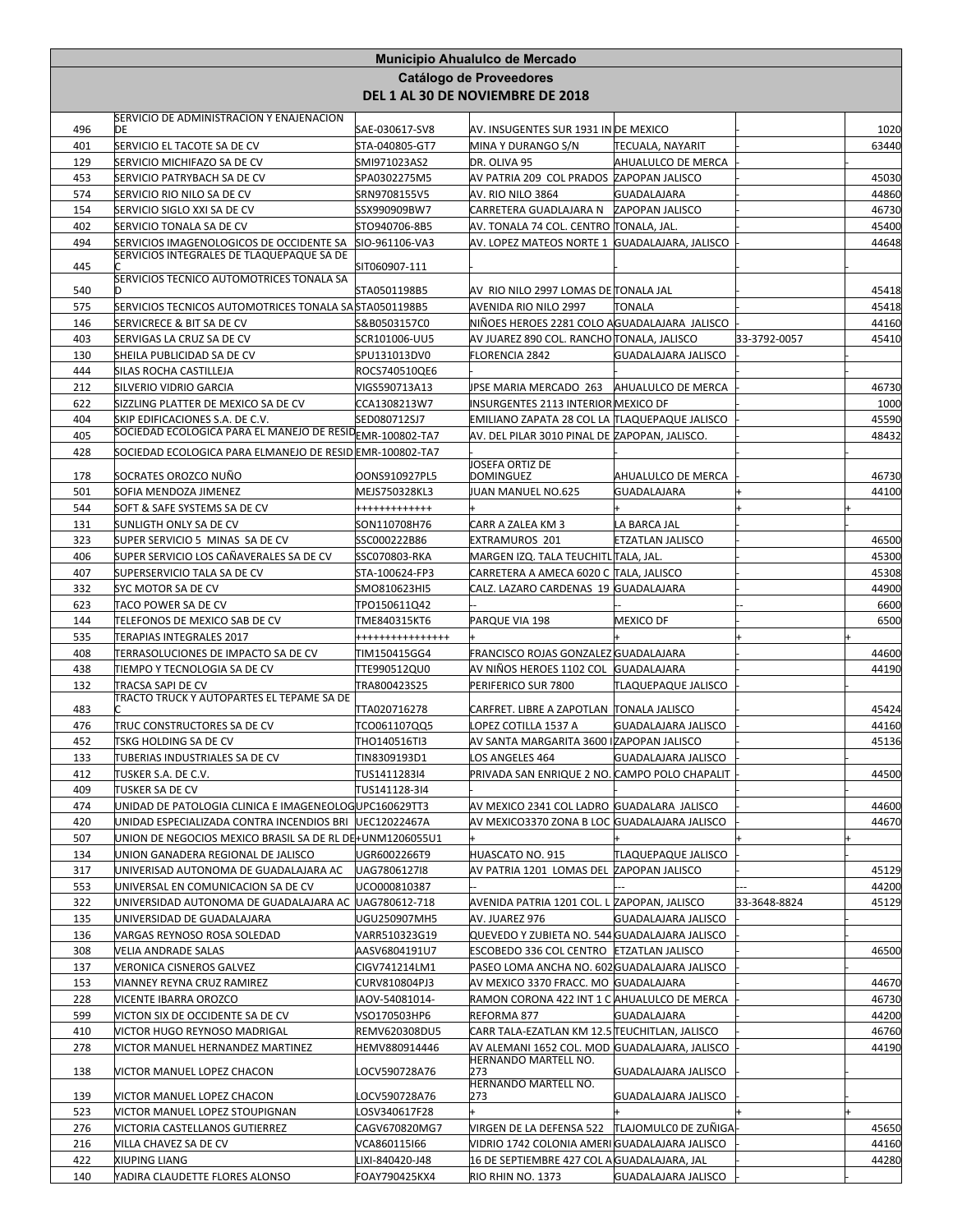|            |                                                                                                          |                                 | Municipio Ahualulco de Mercado                                   |                                       |              |                |
|------------|----------------------------------------------------------------------------------------------------------|---------------------------------|------------------------------------------------------------------|---------------------------------------|--------------|----------------|
|            |                                                                                                          |                                 | <b>Catálogo de Proveedores</b>                                   |                                       |              |                |
|            |                                                                                                          |                                 | DEL 1 AL 30 DE NOVIEMBRE DE 2018                                 |                                       |              |                |
|            | SERVICIO DE ADMINISTRACION Y ENAJENACION                                                                 |                                 |                                                                  |                                       |              |                |
| 496        | DE                                                                                                       | SAE-030617-SV8                  | AV. INSUGENTES SUR 1931 IN DE MEXICO                             |                                       |              | 1020           |
| 401        | SERVICIO EL TACOTE SA DE CV                                                                              | STA-040805-GT7                  | MINA Y DURANGO S/N                                               | <b>TECUALA, NAYARIT</b>               |              | 63440          |
| 129        | SERVICIO MICHIFAZO SA DE CV                                                                              | SMI971023AS2                    | DR. OLIVA 95                                                     | AHUALULCO DE MERCA                    |              |                |
| 453        | SERVICIO PATRYBACH SA DE CV                                                                              | SPA0302275M5                    | AV PATRIA 209 COL PRADOS ZAPOPAN JALISCO                         |                                       |              | 45030          |
| 574        | SERVICIO RIO NILO SA DE CV                                                                               | SRN9708155V5<br>SSX990909BW7    | AV. RIO NILO 3864                                                | <b>GUADALAJARA</b><br>ZAPOPAN JALISCO |              | 44860          |
| 154<br>402 | SERVICIO SIGLO XXI SA DE CV<br>SERVICIO TONALA SA DE CV                                                  | STO940706-8B5                   | CARRETERA GUADLAJARA N<br>AV. TONALA 74 COL. CENTRO ∏ONALA, JAL. |                                       |              | 46730<br>45400 |
| 494        | SERVICIOS IMAGENOLOGICOS DE OCCIDENTE SA                                                                 | SIO-961106-VA3                  | AV. LOPEZ MATEOS NORTE 1 GUADALAJARA, JALISCO                    |                                       |              | 44648          |
|            | SERVICIOS INTEGRALES DE TLAQUEPAQUE SA DE                                                                |                                 |                                                                  |                                       |              |                |
| 445        |                                                                                                          | SIT060907-111                   |                                                                  |                                       |              |                |
| 540        | SERVICIOS TECNICO AUTOMOTRICES TONALA SA<br>D                                                            | STA0501198B5                    | AV RIO NILO 2997 LOMAS DE TONALA JAL                             |                                       |              | 45418          |
| 575        | SERVICIOS TECNICOS AUTOMOTRICES TONALA SA STA0501198B5                                                   |                                 | AVENIDA RIO NILO 2997                                            | TONALA                                |              | 45418          |
| 146        | SERVICRECE & BIT SA DE CV                                                                                | S&B0503157C0                    | NIÑOES HEROES 2281 COLO AGUADALAJARA JALISCO                     |                                       |              | 44160          |
| 403        | SERVIGAS LA CRUZ SA DE CV                                                                                | SCR101006-UU5                   | AV JUAREZ 890 COL. RANCHO TONALA, JALISCO                        |                                       | 33-3792-0057 | 45410          |
| 130        | SHEILA PUBLICIDAD SA DE CV                                                                               | SPU131013DV0                    | <b>FLORENCIA 2842</b>                                            | GUADALAJARA JALISCO                   |              |                |
| 444        | SILAS ROCHA CASTILLEJA                                                                                   | ROCS740510QE6                   |                                                                  |                                       |              |                |
| 212        | SILVERIO VIDRIO GARCIA                                                                                   | VIGS590713A13                   | JPSE MARIA MERCADO 263                                           | AHUALULCO DE MERCA                    |              | 46730          |
| 622        | SIZZLING PLATTER DE MEXICO SA DE CV                                                                      | CCA1308213W7                    | INSURGENTES 2113 INTERIOR MEXICO DF                              |                                       |              | 1000           |
| 404        | SKIP EDIFICACIONES S.A. DE C.V.<br>SOCIEDAD ECOLOGICA PARA EL MANEJO DE RESID <sub>EMR-1</sub> 00802-TA7 | SED080712SJ7                    | EMILIANO ZAPATA 28 COL LA TLAQUEPAQUE JALISCO                    |                                       |              | 45590          |
| 405        |                                                                                                          |                                 | AV. DEL PILAR 3010 PINAL DE ZAPOPAN, JALISCO.                    |                                       |              | 48432          |
| 428        | SOCIEDAD ECOLOGICA PARA ELMANEJO DE RESID EMR-100802-TA7                                                 |                                 | JOSEFA ORTIZ DE                                                  |                                       |              |                |
| 178        | SOCRATES OROZCO NUÑO                                                                                     | OONS910927PL5                   | DOMINGUEZ                                                        | AHUALULCO DE MERCA                    |              | 46730          |
| 501        | SOFIA MENDOZA JIMENEZ                                                                                    | MEJS750328KL3                   | JUAN MANUEL NO.625                                               | <b>GUADALAJARA</b>                    |              | 44100          |
| 544        | SOFT & SAFE SYSTEMS SA DE CV                                                                             | ++++++++++++                    |                                                                  |                                       |              |                |
| 131        | SUNLIGTH ONLY SA DE CV                                                                                   | SON110708H76                    | CARR A ZALEA KM 3                                                | LA BARCA JAL                          |              |                |
| 323        | SUPER SERVICIO 5 MINAS SA DE CV                                                                          | SSC000222B86                    | EXTRAMUROS 201                                                   | <b>ETZATLAN JALISCO</b>               |              | 46500          |
| 406        | SUPER SERVICIO LOS CAÑAVERALES SA DE CV                                                                  | SSC070803-RKA                   | MARGEN IZQ. TALA TEUCHITL TALA, JAL.                             |                                       |              | 45300          |
| 407        | SUPERSERVICIO TALA SA DE CV                                                                              | STA-100624-FP3                  | CARRETERA A AMECA 6020 C TALA, JALISCO                           |                                       |              | 45308          |
| 332        | SYC MOTOR SA DE CV                                                                                       | SMO810623HI5                    | CALZ. LAZARO CARDENAS 19 GUADALAJARA                             |                                       |              | 44900          |
| 623        | <b>TACO POWER SA DE CV</b>                                                                               | TPO150611Q42                    |                                                                  |                                       |              | 6600           |
| 144<br>535 | TELEFONOS DE MEXICO SAB DE CV<br>TERAPIAS INTEGRALES 2017                                                | TME840315KT6<br>+++++++++++++++ | PARQUE VIA 198                                                   | MEXICO DF                             |              | 6500           |
| 408        | TERRASOLUCIONES DE IMPACTO SA DE CV                                                                      | TIM150415GG4                    | FRANCISCO ROJAS GONZALEZ GUADALAJARA                             |                                       |              | 44600          |
| 438        | TIEMPO Y TECNOLOGIA SA DE CV                                                                             | TTE990512QU0                    | AV NIÑOS HEROES 1102 COL GUADALAJARA                             |                                       |              | 44190          |
| 132        | TRACSA SAPI DE CV                                                                                        | TRA800423S25                    | PERIFERICO SUR 7800                                              | TLAQUEPAQUE JALISCO                   |              |                |
|            | TRACTO TRUCK Y AUTOPARTES EL TEPAME SA DE                                                                |                                 |                                                                  |                                       |              |                |
| 483        |                                                                                                          | TTA020716278                    | CARFRET. LIBRE A ZAPOTLAN TONALA JALISCO                         |                                       |              | 45424          |
| 476        | TRUC CONSTRUCTORES SA DE CV                                                                              | TCO061107QQ5                    | LOPEZ COTILLA 1537 A                                             | <b>GUADALAJARA JALISCO</b>            |              | 44160          |
| 452        | <b>TSKG HOLDING SA DE CV</b><br>TUBERIAS INDUSTRIALES SA DE CV                                           | THO140516TI3<br>TIN8309193D1    | AV SANTA MARGARITA 3600 IZAPOPAN JALISCO<br>LOS ANGELES 464      | GUADALAJARA JALISCO                   |              | 45136          |
| 133<br>412 | TUSKER S.A. DE C.V.                                                                                      | TUS1411283I4                    | PRIVADA SAN ENRIQUE 2 NO. CAMPO POLO CHAPALIT                    |                                       |              | 44500          |
| 409        | TUSKER SA DE CV                                                                                          | TUS141128-314                   |                                                                  |                                       |              |                |
| 474        | UNIDAD DE PATOLOGIA CLINICA E IMAGENEOLOGUPC160629TT3                                                    |                                 | AV MEXICO 2341 COL LADRO GUADALARA JALISCO                       |                                       |              | 44600          |
| 420        | UNIDAD ESPECIALIZADA CONTRA INCENDIOS BRI                                                                | UEC12022467A                    | AV MEXICO3370 ZONA B LOC GUADALAJARA JALISCO                     |                                       |              | 44670          |
| 507        | UNION DE NEGOCIOS MEXICO BRASIL SA DE RL DEHUNM1206055U1                                                 |                                 |                                                                  |                                       |              |                |
| 134        | UNION GANADERA REGIONAL DE JALISCO                                                                       | UGR6002266T9                    | HUASCATO NO. 915                                                 | TLAQUEPAQUE JALISCO                   |              |                |
| 317        | UNIVERISAD AUTONOMA DE GUADALAJARA AC                                                                    | UAG7806127I8                    | AV PATRIA 1201 LOMAS DEL ZAPOPAN JALISCO                         |                                       |              | 45129          |
| 553        | UNIVERSAL EN COMUNICACION SA DE CV                                                                       | UCO000810387                    |                                                                  |                                       |              | 44200          |
| 322        | UNIVERSIDAD AUTONOMA DE GUADALAJARA AC                                                                   | UAG780612-718                   | AVENIDA PATRIA 1201 COL. L ZAPOPAN, JALISCO                      |                                       | 33-3648-8824 | 45129          |
| 135        | UNIVERSIDAD DE GUADALAJARA                                                                               | UGU250907MH5                    | AV. JUAREZ 976                                                   | GUADALAJARA JALISCO                   |              |                |
| 136        | VARGAS REYNOSO ROSA SOLEDAD                                                                              | VARR510323G19                   | QUEVEDO Y ZUBIETA NO. 544 GUADALAJARA JALISCO                    |                                       |              |                |
| 308        | VELIA ANDRADE SALAS                                                                                      | AASV6804191U7                   | ESCOBEDO 336 COL CENTRO ETZATLAN JALISCO                         |                                       |              | 46500          |
| 137        | VERONICA CISNEROS GALVEZ                                                                                 | CIGV741214LM1                   | PASEO LOMA ANCHA NO. 602 GUADALAJARA JALISCO                     |                                       |              |                |
| 153        | VIANNEY REYNA CRUZ RAMIREZ                                                                               | CURV810804PJ3                   | AV MEXICO 3370 FRACC. MO GUADALAJARA                             |                                       |              | 44670          |
| 228        | VICENTE IBARRA OROZCO                                                                                    | IAOV-54081014-<br>VSO170503HP6  | RAMON CORONA 422 INT 1 C AHUALULCO DE MERCA                      |                                       |              | 46730          |
| 599<br>410 | VICTON SIX DE OCCIDENTE SA DE CV<br>VICTOR HUGO REYNOSO MADRIGAL                                         | REMV620308DU5                   | REFORMA 877<br>CARR TALA-EZATLAN KM 12.5 TEUCHITLAN, JALISCO     | <b>GUADALAJARA</b>                    |              | 44200<br>46760 |
| 278        | VICTOR MANUEL HERNANDEZ MARTINEZ                                                                         | HEMV880914446                   | AV ALEMANI 1652 COL. MOD GUADALAJARA, JALISCO                    |                                       |              | 44190          |
|            |                                                                                                          |                                 | HERNANDO MARTELL NO.                                             |                                       |              |                |
| 138        | VICTOR MANUEL LOPEZ CHACON                                                                               | OCV590728A76                    | 273                                                              | GUADALAJARA JALISCO                   |              |                |
| 139        | VICTOR MANUEL LOPEZ CHACON                                                                               | OCV590728A76.                   | HERNANDO MARTELL NO.<br>273                                      | GUADALAJARA JALISCO                   |              |                |
| 523        | VICTOR MANUEL LOPEZ STOUPIGNAN                                                                           | .OSV340617F28                   |                                                                  |                                       |              |                |
| 276        | VICTORIA CASTELLANOS GUTIERREZ                                                                           | CAGV670820MG7                   | VIRGEN DE LA DEFENSA 522 TLAJOMULCO DE ZUÑIGA                    |                                       |              | 45650          |
| 216        | VILLA CHAVEZ SA DE CV                                                                                    | VCA860115I66                    | VIDRIO 1742 COLONIA AMERI GUADALAJARA JALISCO                    |                                       |              | 44160          |
| 422        | <b>XIUPING LIANG</b>                                                                                     | LIXI-840420-J48                 | 16 DE SEPTIEMBRE 427 COL A GUADALAJARA, JAL                      |                                       |              | 44280          |
| 140        | YADIRA CLAUDETTE FLORES ALONSO                                                                           | FOAY790425KX4                   | RIO RHIN NO. 1373                                                | GUADALAJARA JALISCO                   |              |                |